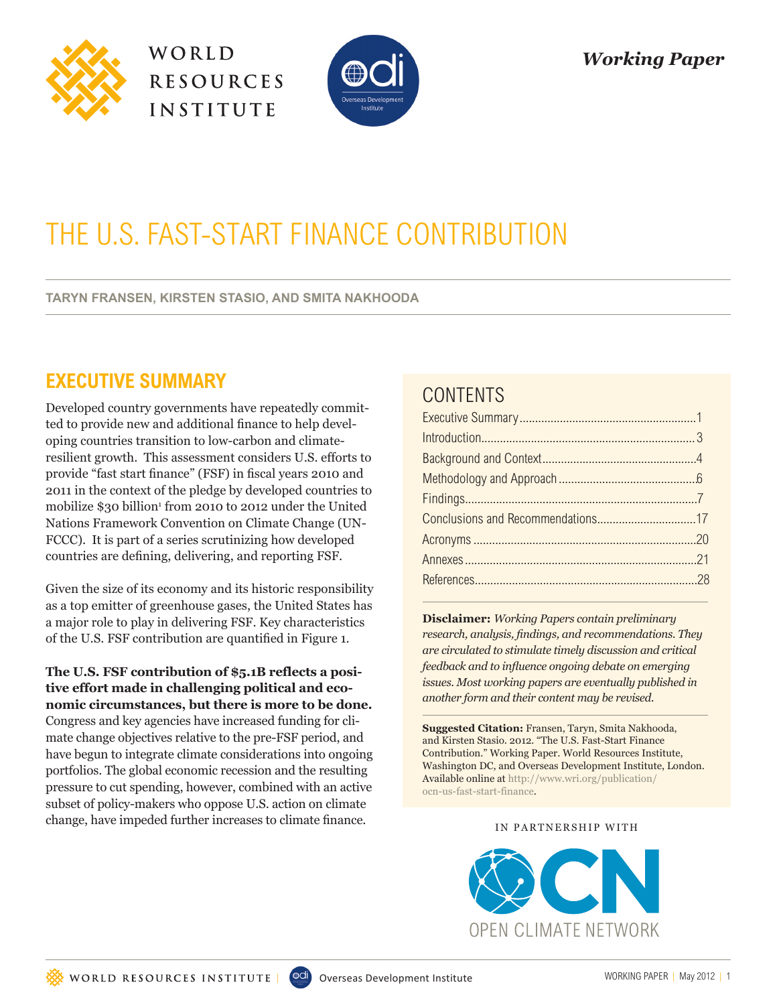





# THE U.S. FAST-START FINANCE CONTRIBUTION

**TARYN FRANSEN, KIRSTEN STASIO, AND SMITA NAKHOODA**

# **EXECUTIVE SUMMARY**

Developed country governments have repeatedly committed to provide new and additional finance to help developing countries transition to low-carbon and climateresilient growth. This assessment considers U.S. efforts to provide "fast start finance" (FSF) in fiscal years 2010 and 2011 in the context of the pledge by developed countries to mobilize \$30 billion<sup>1</sup> from 2010 to 2012 under the United Nations Framework Convention on Climate Change (UN-FCCC). It is part of a series scrutinizing how developed countries are defining, delivering, and reporting FSF.

Given the size of its economy and its historic responsibility as a top emitter of greenhouse gases, the United States has a major role to play in delivering FSF. Key characteristics of the U.S. FSF contribution are quantified in Figure 1.

**The U.S. FSF contribution of \$5.1B reflects a positive effort made in challenging political and economic circumstances, but there is more to be done.** Congress and key agencies have increased funding for climate change objectives relative to the pre-FSF period, and have begun to integrate climate considerations into ongoing portfolios. The global economic recession and the resulting pressure to cut spending, however, combined with an active subset of policy-makers who oppose U.S. action on climate change, have impeded further increases to climate finance.

# **CONTENTS**

**Disclaimer:** *Working Papers contain preliminary research, analysis, findings, and recommendations. They are circulated to stimulate timely discussion and critical feedback and to influence ongoing debate on emerging issues. Most working papers are eventually published in another form and their content may be revised.*

**Suggested Citation:** Fransen, Taryn, Smita Nakhooda, and Kirsten Stasio. 2012. "The U.S. Fast-Start Finance Contribution." Working Paper. World Resources Institute, Washington DC, and Overseas Development Institute, London. Available online at http://www.wri.org/publication/ ocn-us-fast-start-finance.

IN PARTNERSHIP WITH

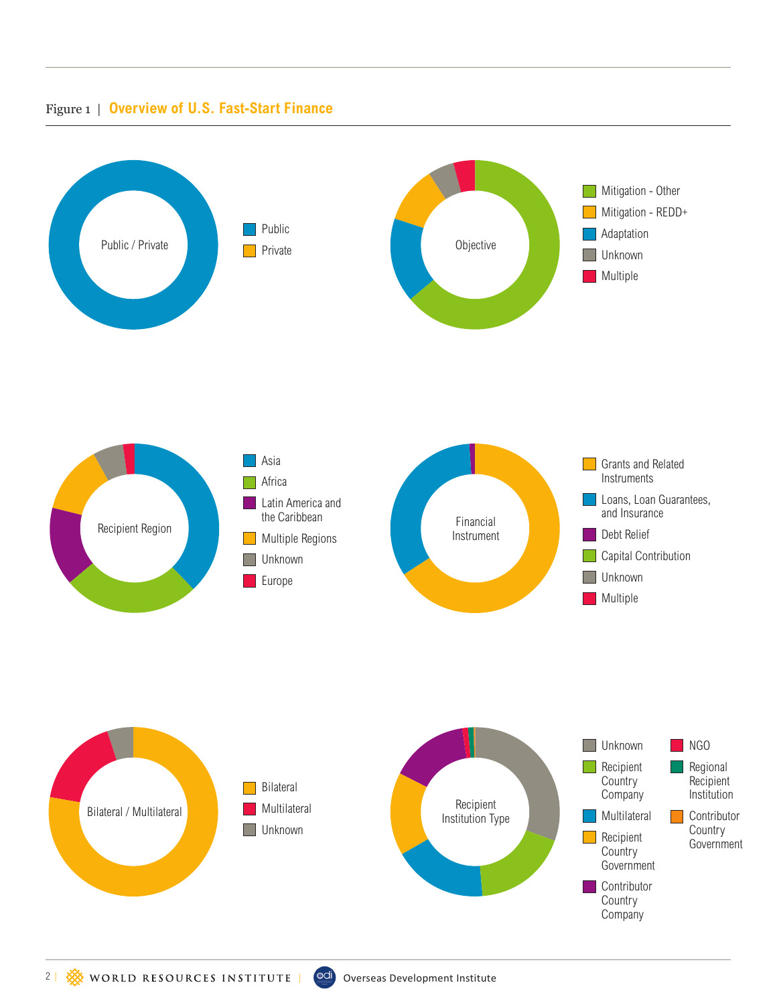#### Figure 1 | **Overview of U.S. Fast-Start Finance**

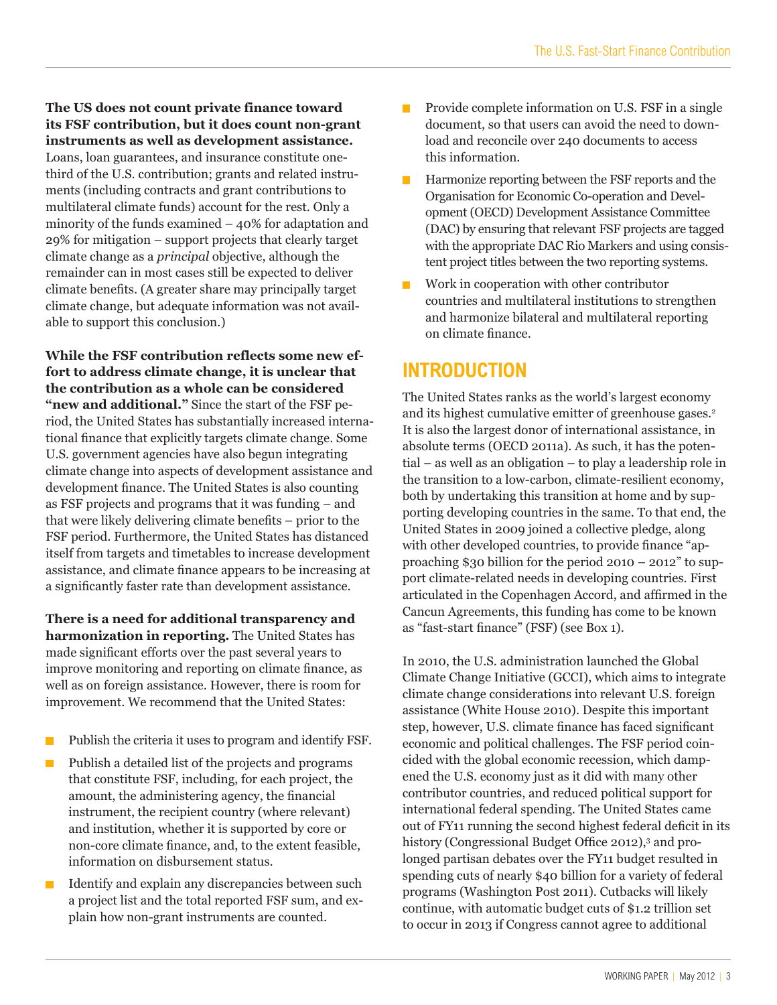**The US does not count private finance toward its FSF contribution, but it does count non-grant instruments as well as development assistance.** Loans, loan guarantees, and insurance constitute onethird of the U.S. contribution; grants and related instruments (including contracts and grant contributions to multilateral climate funds) account for the rest. Only a minority of the funds examined – 40% for adaptation and 29% for mitigation – support projects that clearly target climate change as a *principal* objective, although the remainder can in most cases still be expected to deliver climate benefits. (A greater share may principally target climate change, but adequate information was not available to support this conclusion.)

**While the FSF contribution reflects some new effort to address climate change, it is unclear that the contribution as a whole can be considered "new and additional."** Since the start of the FSF period, the United States has substantially increased international finance that explicitly targets climate change. Some U.S. government agencies have also begun integrating climate change into aspects of development assistance and development finance. The United States is also counting as FSF projects and programs that it was funding – and that were likely delivering climate benefits – prior to the FSF period. Furthermore, the United States has distanced itself from targets and timetables to increase development assistance, and climate finance appears to be increasing at a significantly faster rate than development assistance.

**There is a need for additional transparency and harmonization in reporting.** The United States has made significant efforts over the past several years to improve monitoring and reporting on climate finance, as well as on foreign assistance. However, there is room for improvement. We recommend that the United States:

- Publish the criteria it uses to program and identify FSF.  $\overline{\phantom{a}}$
- Publish a detailed list of the projects and programs П that constitute FSF, including, for each project, the amount, the administering agency, the financial instrument, the recipient country (where relevant) and institution, whether it is supported by core or non-core climate finance, and, to the extent feasible, information on disbursement status.
- Identify and explain any discrepancies between such a project list and the total reported FSF sum, and explain how non-grant instruments are counted.
- Provide complete information on U.S. FSF in a single П document, so that users can avoid the need to download and reconcile over 240 documents to access this information.
- $\blacksquare$  Harmonize reporting between the FSF reports and the Organisation for Economic Co-operation and Development (OECD) Development Assistance Committee (DAC) by ensuring that relevant FSF projects are tagged with the appropriate DAC Rio Markers and using consistent project titles between the two reporting systems.
- Work in cooperation with other contributor countries and multilateral institutions to strengthen and harmonize bilateral and multilateral reporting on climate finance.

# **INTRODUCTION**

The United States ranks as the world's largest economy and its highest cumulative emitter of greenhouse gases.<sup>2</sup> It is also the largest donor of international assistance, in absolute terms (OECD 2011a). As such, it has the potential – as well as an obligation – to play a leadership role in the transition to a low-carbon, climate-resilient economy, both by undertaking this transition at home and by supporting developing countries in the same. To that end, the United States in 2009 joined a collective pledge, along with other developed countries, to provide finance "approaching \$30 billion for the period 2010 – 2012" to support climate-related needs in developing countries. First articulated in the Copenhagen Accord, and affirmed in the Cancun Agreements, this funding has come to be known as "fast-start finance" (FSF) (see Box 1).

In 2010, the U.S. administration launched the Global Climate Change Initiative (GCCI), which aims to integrate climate change considerations into relevant U.S. foreign assistance (White House 2010). Despite this important step, however, U.S. climate finance has faced significant economic and political challenges. The FSF period coincided with the global economic recession, which dampened the U.S. economy just as it did with many other contributor countries, and reduced political support for international federal spending. The United States came out of FY11 running the second highest federal deficit in its history (Congressional Budget Office 2012),<sup>3</sup> and prolonged partisan debates over the FY11 budget resulted in spending cuts of nearly \$40 billion for a variety of federal programs (Washington Post 2011). Cutbacks will likely continue, with automatic budget cuts of \$1.2 trillion set to occur in 2013 if Congress cannot agree to additional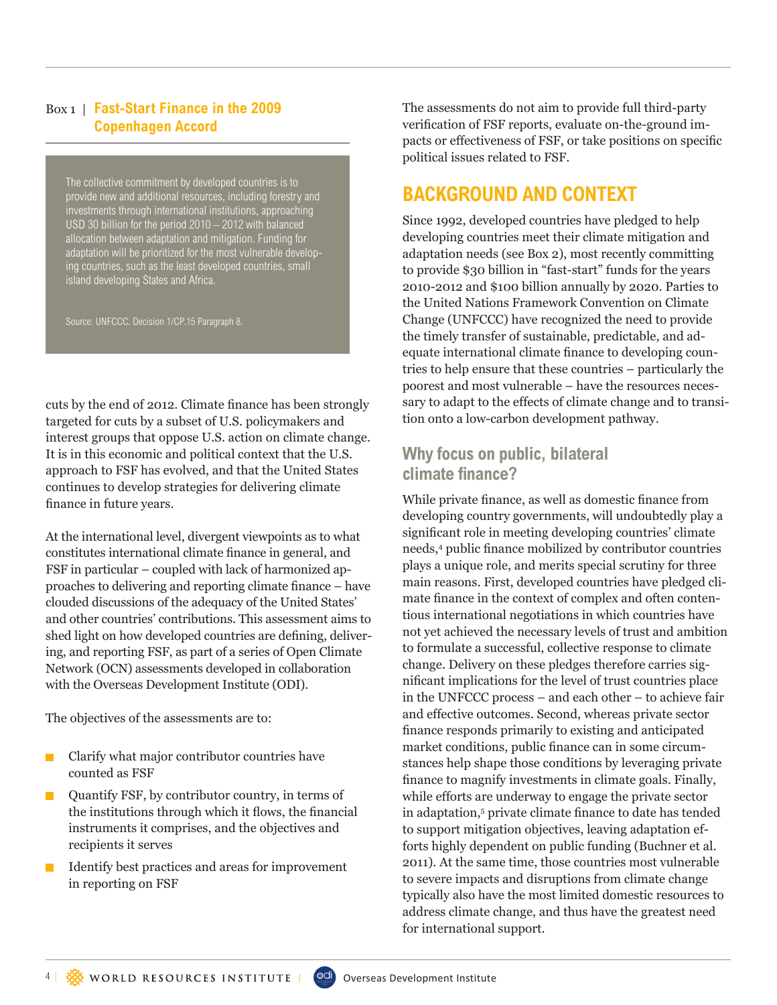#### Box 1 | **Fast-Start Finance in the 2009 Copenhagen Accord**

The collective commitment by developed countries is to provide new and additional resources, including forestry and investments through international institutions, approaching USD 30 billion for the period 2010 – 2012 with balanced allocation between adaptation and mitigation. Funding for adaptation will be prioritized for the most vulnerable developing countries, such as the least developed countries, small island developing States and Africa.

Source: UNFCCC. Decision 1/CP.15 Paragraph 8.

cuts by the end of 2012. Climate finance has been strongly targeted for cuts by a subset of U.S. policymakers and interest groups that oppose U.S. action on climate change. It is in this economic and political context that the U.S. approach to FSF has evolved, and that the United States continues to develop strategies for delivering climate finance in future years.

At the international level, divergent viewpoints as to what constitutes international climate finance in general, and FSF in particular – coupled with lack of harmonized approaches to delivering and reporting climate finance – have clouded discussions of the adequacy of the United States' and other countries' contributions. This assessment aims to shed light on how developed countries are defining, delivering, and reporting FSF, as part of a series of Open Climate Network (OCN) assessments developed in collaboration with the Overseas Development Institute (ODI).

The objectives of the assessments are to:

- **Clarify what major contributor countries have** counted as FSF
- Quantify FSF, by contributor country, in terms of the institutions through which it flows, the financial instruments it comprises, and the objectives and recipients it serves
- Identify best practices and areas for improvement in reporting on FSF

The assessments do not aim to provide full third-party verification of FSF reports, evaluate on-the-ground impacts or effectiveness of FSF, or take positions on specific political issues related to FSF.

# **BACKGROUND AND CONTEXT**

Since 1992, developed countries have pledged to help developing countries meet their climate mitigation and adaptation needs (see Box 2), most recently committing to provide \$30 billion in "fast-start" funds for the years 2010-2012 and \$100 billion annually by 2020. Parties to the United Nations Framework Convention on Climate Change (UNFCCC) have recognized the need to provide the timely transfer of sustainable, predictable, and adequate international climate finance to developing countries to help ensure that these countries – particularly the poorest and most vulnerable – have the resources necessary to adapt to the effects of climate change and to transition onto a low-carbon development pathway.

### **Why focus on public, bilateral climate finance?**

While private finance, as well as domestic finance from developing country governments, will undoubtedly play a significant role in meeting developing countries' climate needs,4 public finance mobilized by contributor countries plays a unique role, and merits special scrutiny for three main reasons. First, developed countries have pledged climate finance in the context of complex and often contentious international negotiations in which countries have not yet achieved the necessary levels of trust and ambition to formulate a successful, collective response to climate change. Delivery on these pledges therefore carries significant implications for the level of trust countries place in the UNFCCC process – and each other – to achieve fair and effective outcomes. Second, whereas private sector finance responds primarily to existing and anticipated market conditions, public finance can in some circumstances help shape those conditions by leveraging private finance to magnify investments in climate goals. Finally, while efforts are underway to engage the private sector in adaptation,<sup>5</sup> private climate finance to date has tended to support mitigation objectives, leaving adaptation efforts highly dependent on public funding (Buchner et al. 2011). At the same time, those countries most vulnerable to severe impacts and disruptions from climate change typically also have the most limited domestic resources to address climate change, and thus have the greatest need for international support.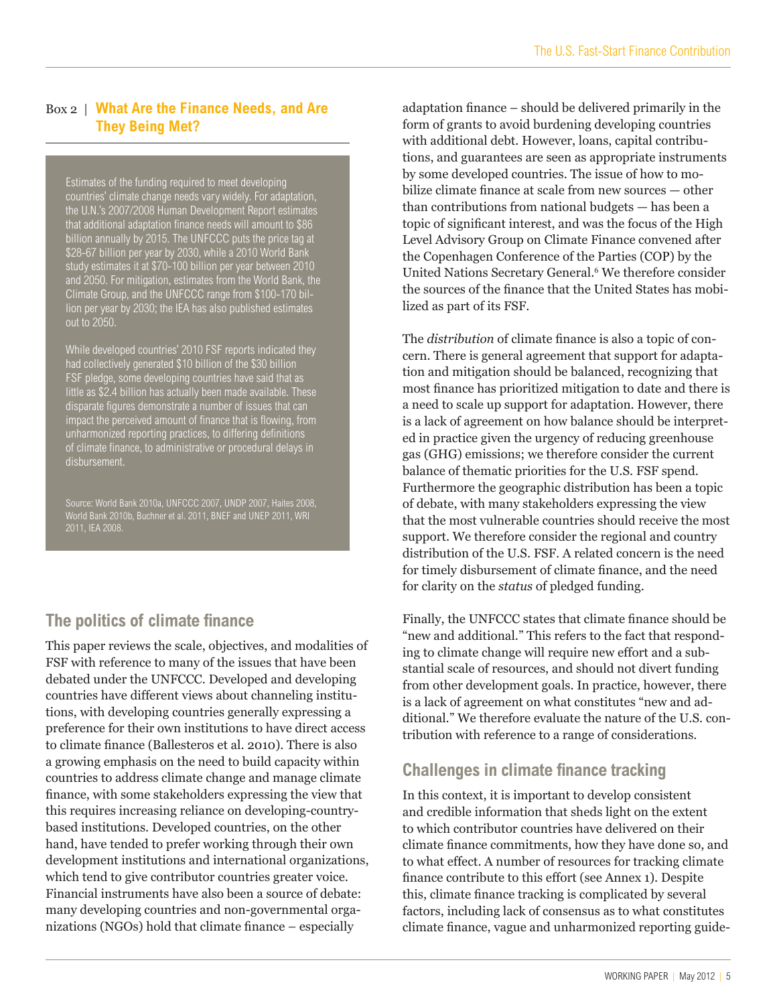#### Box 2 | **What Are the Finance Needs, and Are They Being Met?**

Estimates of the funding required to meet developing countries' climate change needs vary widely. For adaptation, the U.N.'s 2007/2008 Human Development Report estimates that additional adaptation finance needs will amount to \$86 billion annually by 2015. The UNFCCC puts the price tag at \$28-67 billion per year by 2030, while a 2010 World Bank study estimates it at \$70-100 billion per year between 2010 and 2050. For mitigation, estimates from the World Bank, the Climate Group, and the UNFCCC range from \$100-170 billion per year by 2030; the IEA has also published estimates out to 2050.

While developed countries' 2010 FSF reports indicated they had collectively generated \$10 billion of the \$30 billion FSF pledge, some developing countries have said that as little as \$2.4 billion has actually been made available. These disparate figures demonstrate a number of issues that can impact the perceived amount of finance that is flowing, from unharmonized reporting practices, to differing definitions of climate finance, to administrative or procedural delays in disbursement.

World Bank 2010b, Buchner et al. 2011, BNEF and UNEP 2011, WRI 2011, IEA 2008.

## **The politics of climate finance**

This paper reviews the scale, objectives, and modalities of FSF with reference to many of the issues that have been debated under the UNFCCC. Developed and developing countries have different views about channeling institutions, with developing countries generally expressing a preference for their own institutions to have direct access to climate finance (Ballesteros et al. 2010). There is also a growing emphasis on the need to build capacity within countries to address climate change and manage climate finance, with some stakeholders expressing the view that this requires increasing reliance on developing-countrybased institutions. Developed countries, on the other hand, have tended to prefer working through their own development institutions and international organizations, which tend to give contributor countries greater voice. Financial instruments have also been a source of debate: many developing countries and non-governmental organizations (NGOs) hold that climate finance – especially

adaptation finance – should be delivered primarily in the form of grants to avoid burdening developing countries with additional debt. However, loans, capital contributions, and guarantees are seen as appropriate instruments by some developed countries. The issue of how to mobilize climate finance at scale from new sources — other than contributions from national budgets — has been a topic of significant interest, and was the focus of the High Level Advisory Group on Climate Finance convened after the Copenhagen Conference of the Parties (COP) by the United Nations Secretary General.<sup>6</sup> We therefore consider the sources of the finance that the United States has mobilized as part of its FSF.

The *distribution* of climate finance is also a topic of concern. There is general agreement that support for adaptation and mitigation should be balanced, recognizing that most finance has prioritized mitigation to date and there is a need to scale up support for adaptation. However, there is a lack of agreement on how balance should be interpreted in practice given the urgency of reducing greenhouse gas (GHG) emissions; we therefore consider the current balance of thematic priorities for the U.S. FSF spend. Furthermore the geographic distribution has been a topic of debate, with many stakeholders expressing the view that the most vulnerable countries should receive the most support. We therefore consider the regional and country distribution of the U.S. FSF. A related concern is the need for timely disbursement of climate finance, and the need for clarity on the *status* of pledged funding.

Finally, the UNFCCC states that climate finance should be "new and additional." This refers to the fact that responding to climate change will require new effort and a substantial scale of resources, and should not divert funding from other development goals. In practice, however, there is a lack of agreement on what constitutes "new and additional." We therefore evaluate the nature of the U.S. contribution with reference to a range of considerations.

### **Challenges in climate finance tracking**

In this context, it is important to develop consistent and credible information that sheds light on the extent to which contributor countries have delivered on their climate finance commitments, how they have done so, and to what effect. A number of resources for tracking climate finance contribute to this effort (see Annex 1). Despite this, climate finance tracking is complicated by several factors, including lack of consensus as to what constitutes climate finance, vague and unharmonized reporting guide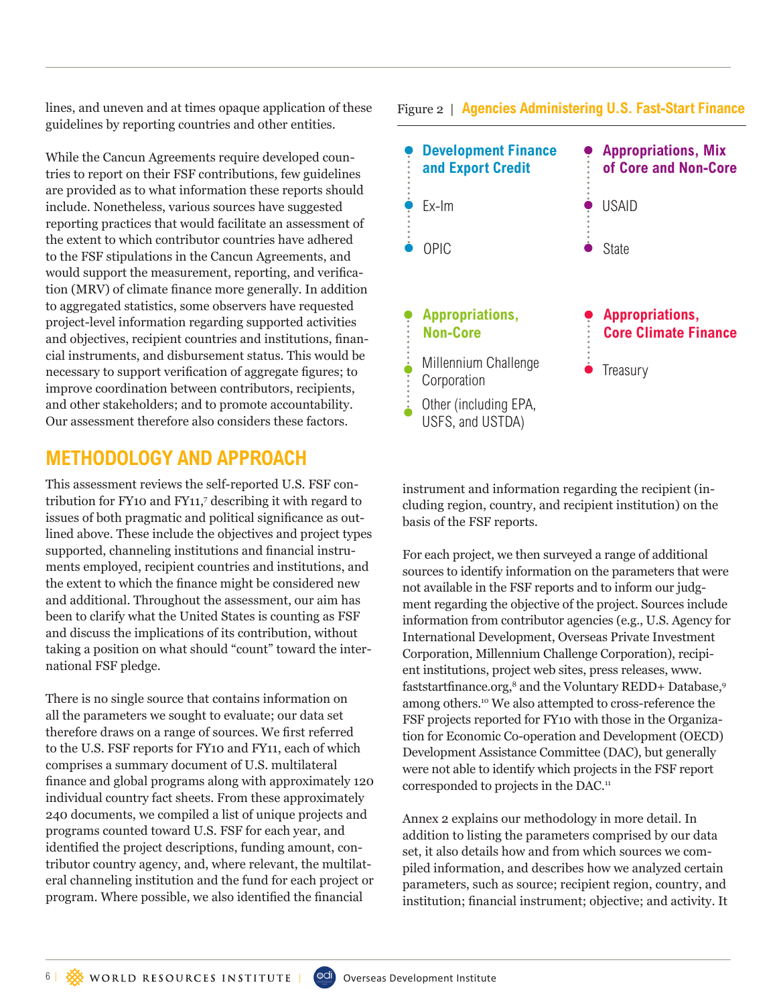lines, and uneven and at times opaque application of these guidelines by reporting countries and other entities.

While the Cancun Agreements require developed countries to report on their FSF contributions, few guidelines are provided as to what information these reports should include. Nonetheless, various sources have suggested reporting practices that would facilitate an assessment of the extent to which contributor countries have adhered to the FSF stipulations in the Cancun Agreements, and would support the measurement, reporting, and verification (MRV) of climate finance more generally. In addition to aggregated statistics, some observers have requested project-level information regarding supported activities and objectives, recipient countries and institutions, financial instruments, and disbursement status. This would be necessary to support verification of aggregate figures; to improve coordination between contributors, recipients, and other stakeholders; and to promote accountability. Our assessment therefore also considers these factors.

### **METHODOLOGY AND APPROACH**

This assessment reviews the self-reported U.S. FSF contribution for FY10 and FY11,<sup>7</sup> describing it with regard to issues of both pragmatic and political significance as outlined above. These include the objectives and project types supported, channeling institutions and financial instruments employed, recipient countries and institutions, and the extent to which the finance might be considered new and additional. Throughout the assessment, our aim has been to clarify what the United States is counting as FSF and discuss the implications of its contribution, without taking a position on what should "count" toward the international FSF pledge.

There is no single source that contains information on all the parameters we sought to evaluate; our data set therefore draws on a range of sources. We first referred to the U.S. FSF reports for FY10 and FY11, each of which comprises a summary document of U.S. multilateral finance and global programs along with approximately 120 individual country fact sheets. From these approximately 240 documents, we compiled a list of unique projects and programs counted toward U.S. FSF for each year, and identified the project descriptions, funding amount, contributor country agency, and, where relevant, the multilateral channeling institution and the fund for each project or program. Where possible, we also identified the financial

#### Figure 2 | **Agencies Administering U.S. Fast-Start Finance**



instrument and information regarding the recipient (including region, country, and recipient institution) on the basis of the FSF reports.

For each project, we then surveyed a range of additional sources to identify information on the parameters that were not available in the FSF reports and to inform our judgment regarding the objective of the project. Sources include information from contributor agencies (e.g., U.S. Agency for International Development, Overseas Private Investment Corporation, Millennium Challenge Corporation), recipient institutions, project web sites, press releases, www. faststartfinance.org,<sup>8</sup> and the Voluntary REDD+ Database,<sup>9</sup> among others.10 We also attempted to cross-reference the FSF projects reported for FY10 with those in the Organization for Economic Co-operation and Development (OECD) Development Assistance Committee (DAC), but generally were not able to identify which projects in the FSF report corresponded to projects in the DAC.<sup>11</sup>

Annex 2 explains our methodology in more detail. In addition to listing the parameters comprised by our data set, it also details how and from which sources we compiled information, and describes how we analyzed certain parameters, such as source; recipient region, country, and institution; financial instrument; objective; and activity. It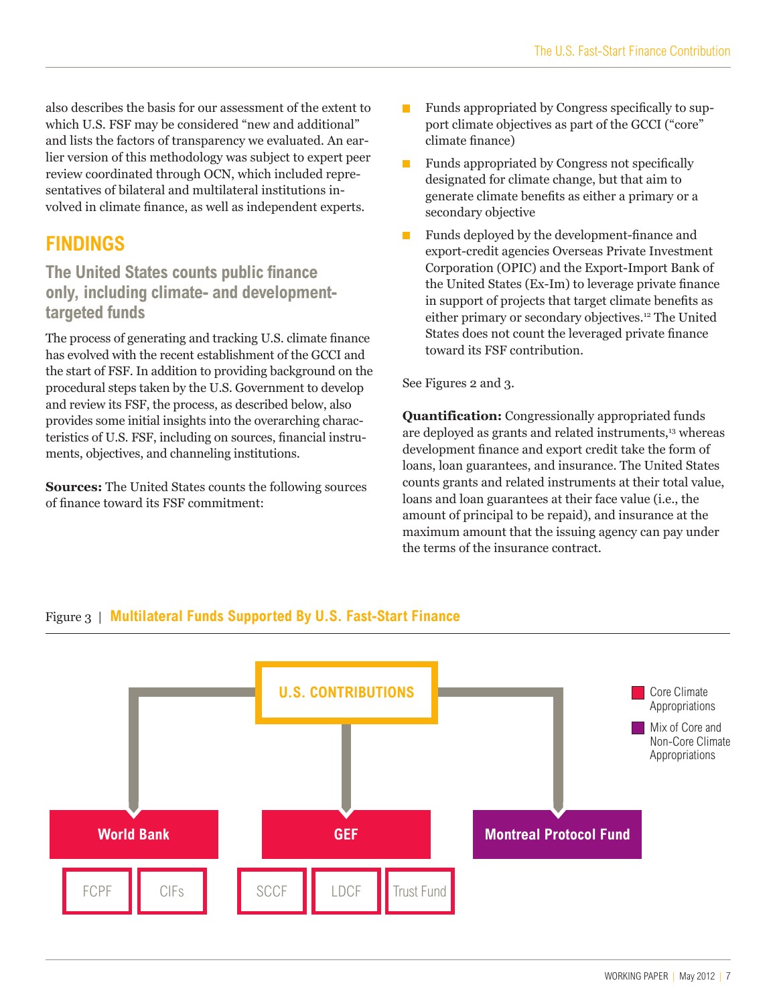also describes the basis for our assessment of the extent to which U.S. FSF may be considered "new and additional" and lists the factors of transparency we evaluated. An earlier version of this methodology was subject to expert peer review coordinated through OCN, which included representatives of bilateral and multilateral institutions involved in climate finance, as well as independent experts.

# **FINDINGS**

### **The United States counts public finance only, including climate- and developmenttargeted funds**

The process of generating and tracking U.S. climate finance has evolved with the recent establishment of the GCCI and the start of FSF. In addition to providing background on the procedural steps taken by the U.S. Government to develop and review its FSF, the process, as described below, also provides some initial insights into the overarching characteristics of U.S. FSF, including on sources, financial instruments, objectives, and channeling institutions.

**Sources:** The United States counts the following sources of finance toward its FSF commitment:

- **Funds appropriated by Congress specifically to sup**port climate objectives as part of the GCCI ("core" climate finance)
- m. Funds appropriated by Congress not specifically designated for climate change, but that aim to generate climate benefits as either a primary or a secondary objective
- Funds deployed by the development-finance and export-credit agencies Overseas Private Investment Corporation (OPIC) and the Export-Import Bank of the United States (Ex-Im) to leverage private finance in support of projects that target climate benefits as either primary or secondary objectives.<sup>12</sup> The United States does not count the leveraged private finance toward its FSF contribution.

#### See Figures 2 and 3.

**Quantification:** Congressionally appropriated funds are deployed as grants and related instruments,<sup>13</sup> whereas development finance and export credit take the form of loans, loan guarantees, and insurance. The United States counts grants and related instruments at their total value, loans and loan guarantees at their face value (i.e., the amount of principal to be repaid), and insurance at the maximum amount that the issuing agency can pay under the terms of the insurance contract.



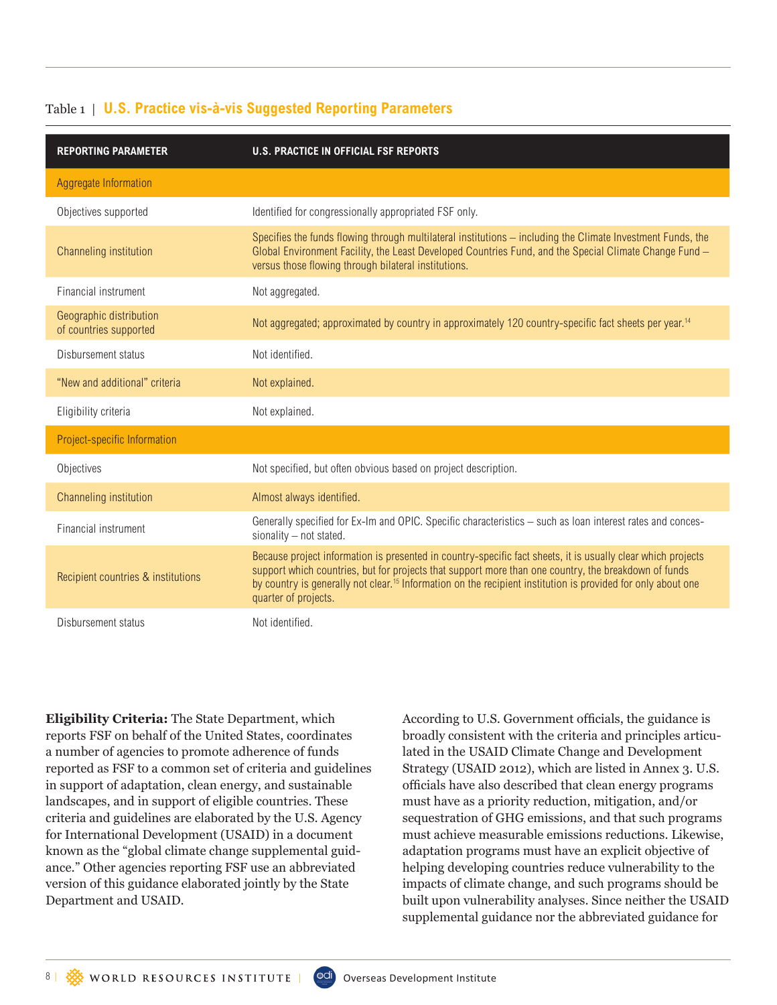| <b>REPORTING PARAMETER</b>                        | <b>U.S. PRACTICE IN OFFICIAL FSF REPORTS</b>                                                                                                                                                                                                                                                                                                                             |
|---------------------------------------------------|--------------------------------------------------------------------------------------------------------------------------------------------------------------------------------------------------------------------------------------------------------------------------------------------------------------------------------------------------------------------------|
| Aggregate Information                             |                                                                                                                                                                                                                                                                                                                                                                          |
| Objectives supported                              | Identified for congressionally appropriated FSF only.                                                                                                                                                                                                                                                                                                                    |
| Channeling institution                            | Specifies the funds flowing through multilateral institutions – including the Climate Investment Funds, the<br>Global Environment Facility, the Least Developed Countries Fund, and the Special Climate Change Fund -<br>versus those flowing through bilateral institutions.                                                                                            |
| Financial instrument                              | Not aggregated.                                                                                                                                                                                                                                                                                                                                                          |
| Geographic distribution<br>of countries supported | Not aggregated; approximated by country in approximately 120 country-specific fact sheets per year. <sup>14</sup>                                                                                                                                                                                                                                                        |
| Disbursement status                               | Not identified.                                                                                                                                                                                                                                                                                                                                                          |
| "New and additional" criteria                     | Not explained.                                                                                                                                                                                                                                                                                                                                                           |
| Eligibility criteria                              | Not explained.                                                                                                                                                                                                                                                                                                                                                           |
| Project-specific Information                      |                                                                                                                                                                                                                                                                                                                                                                          |
| Objectives                                        | Not specified, but often obvious based on project description.                                                                                                                                                                                                                                                                                                           |
| Channeling institution                            | Almost always identified.                                                                                                                                                                                                                                                                                                                                                |
| Financial instrument                              | Generally specified for Ex-Im and OPIC. Specific characteristics - such as loan interest rates and conces-<br>sionality - not stated.                                                                                                                                                                                                                                    |
| Recipient countries & institutions                | Because project information is presented in country-specific fact sheets, it is usually clear which projects<br>support which countries, but for projects that support more than one country, the breakdown of funds<br>by country is generally not clear. <sup>15</sup> Information on the recipient institution is provided for only about one<br>quarter of projects. |
| Disbursement status                               | Not identified.                                                                                                                                                                                                                                                                                                                                                          |

#### Table 1 | **U.S. Practice vis-à-vis Suggested Reporting Parameters**

**Eligibility Criteria:** The State Department, which reports FSF on behalf of the United States, coordinates a number of agencies to promote adherence of funds reported as FSF to a common set of criteria and guidelines in support of adaptation, clean energy, and sustainable landscapes, and in support of eligible countries. These criteria and guidelines are elaborated by the U.S. Agency for International Development (USAID) in a document known as the "global climate change supplemental guidance." Other agencies reporting FSF use an abbreviated version of this guidance elaborated jointly by the State Department and USAID.

According to U.S. Government officials, the guidance is broadly consistent with the criteria and principles articulated in the USAID Climate Change and Development Strategy (USAID 2012), which are listed in Annex 3. U.S. officials have also described that clean energy programs must have as a priority reduction, mitigation, and/or sequestration of GHG emissions, and that such programs must achieve measurable emissions reductions. Likewise, adaptation programs must have an explicit objective of helping developing countries reduce vulnerability to the impacts of climate change, and such programs should be built upon vulnerability analyses. Since neither the USAID supplemental guidance nor the abbreviated guidance for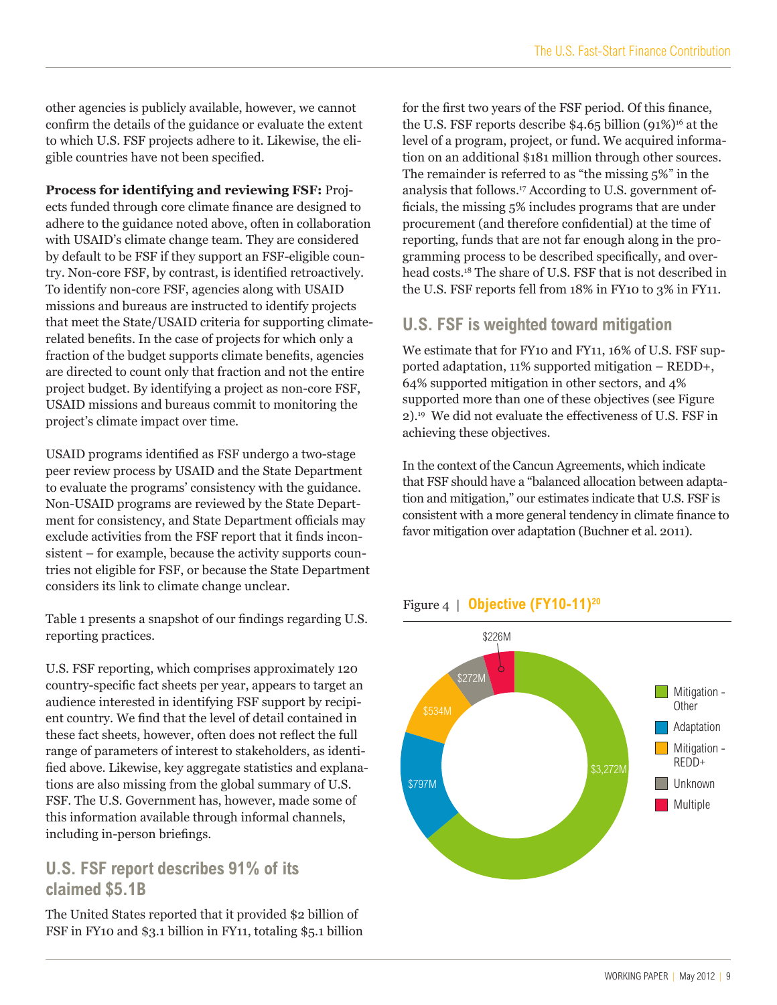other agencies is publicly available, however, we cannot confirm the details of the guidance or evaluate the extent to which U.S. FSF projects adhere to it. Likewise, the eligible countries have not been specified.

**Process for identifying and reviewing FSF:** Proj-

ects funded through core climate finance are designed to adhere to the guidance noted above, often in collaboration with USAID's climate change team. They are considered by default to be FSF if they support an FSF-eligible country. Non-core FSF, by contrast, is identified retroactively. To identify non-core FSF, agencies along with USAID missions and bureaus are instructed to identify projects that meet the State/USAID criteria for supporting climaterelated benefits. In the case of projects for which only a fraction of the budget supports climate benefits, agencies are directed to count only that fraction and not the entire project budget. By identifying a project as non-core FSF, USAID missions and bureaus commit to monitoring the project's climate impact over time.

USAID programs identified as FSF undergo a two-stage peer review process by USAID and the State Department to evaluate the programs' consistency with the guidance. Non-USAID programs are reviewed by the State Department for consistency, and State Department officials may exclude activities from the FSF report that it finds inconsistent – for example, because the activity supports countries not eligible for FSF, or because the State Department considers its link to climate change unclear.

Table 1 presents a snapshot of our findings regarding U.S. reporting practices.

U.S. FSF reporting, which comprises approximately 120 country-specific fact sheets per year, appears to target an audience interested in identifying FSF support by recipient country. We find that the level of detail contained in these fact sheets, however, often does not reflect the full range of parameters of interest to stakeholders, as identified above. Likewise, key aggregate statistics and explanations are also missing from the global summary of U.S. FSF. The U.S. Government has, however, made some of this information available through informal channels, including in-person briefings.

### **U.S. FSF report describes 91% of its claimed \$5.1B**

The United States reported that it provided \$2 billion of FSF in FY10 and \$3.1 billion in FY11, totaling \$5.1 billion

for the first two years of the FSF period. Of this finance, the U.S. FSF reports describe  $$4.65$  billion  $(91\%)$ <sup>16</sup> at the level of a program, project, or fund. We acquired information on an additional \$181 million through other sources. The remainder is referred to as "the missing 5%" in the analysis that follows.17 According to U.S. government officials, the missing 5% includes programs that are under procurement (and therefore confidential) at the time of reporting, funds that are not far enough along in the programming process to be described specifically, and overhead costs.18 The share of U.S. FSF that is not described in the U.S. FSF reports fell from 18% in FY10 to 3% in FY11.

### **U.S. FSF is weighted toward mitigation**

We estimate that for FY10 and FY11, 16% of U.S. FSF supported adaptation, 11% supported mitigation – REDD+, 64% supported mitigation in other sectors, and 4% supported more than one of these objectives (see Figure 2).19 We did not evaluate the effectiveness of U.S. FSF in achieving these objectives.

In the context of the Cancun Agreements, which indicate that FSF should have a "balanced allocation between adaptation and mitigation," our estimates indicate that U.S. FSF is consistent with a more general tendency in climate finance to favor mitigation over adaptation (Buchner et al. 2011).



#### Figure 4 | **Objective (FY10-11)20**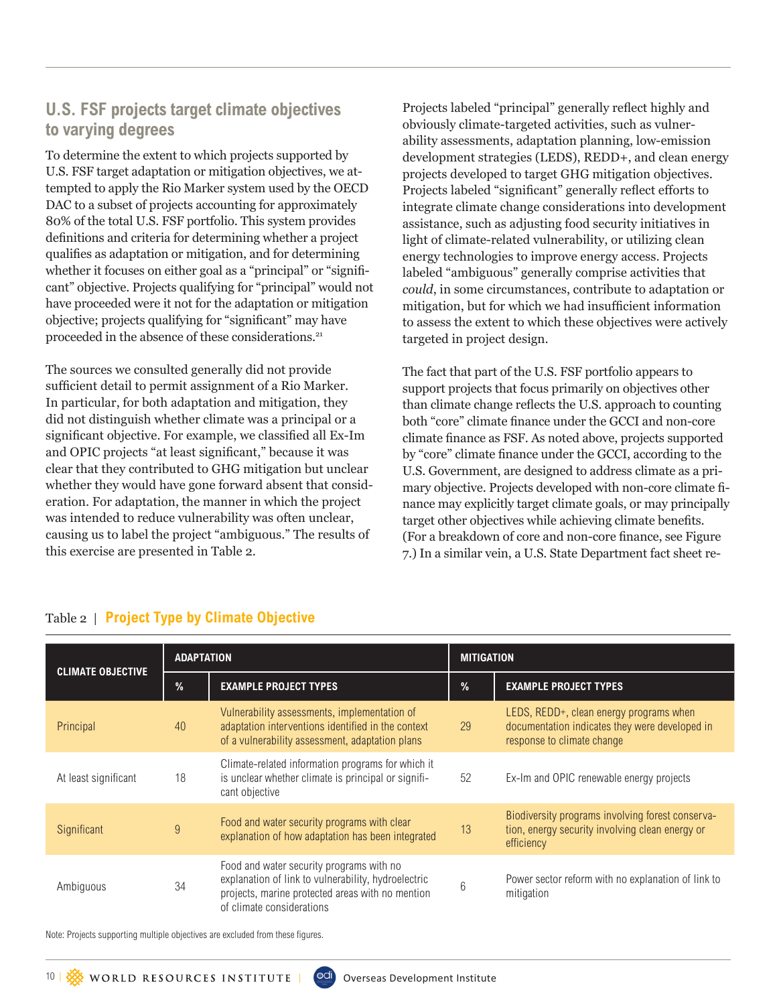### **U.S. FSF projects target climate objectives to varying degrees**

To determine the extent to which projects supported by U.S. FSF target adaptation or mitigation objectives, we attempted to apply the Rio Marker system used by the OECD DAC to a subset of projects accounting for approximately 80% of the total U.S. FSF portfolio. This system provides definitions and criteria for determining whether a project qualifies as adaptation or mitigation, and for determining whether it focuses on either goal as a "principal" or "significant" objective. Projects qualifying for "principal" would not have proceeded were it not for the adaptation or mitigation objective; projects qualifying for "significant" may have proceeded in the absence of these considerations.<sup>21</sup>

The sources we consulted generally did not provide sufficient detail to permit assignment of a Rio Marker. In particular, for both adaptation and mitigation, they did not distinguish whether climate was a principal or a significant objective. For example, we classified all Ex-Im and OPIC projects "at least significant," because it was clear that they contributed to GHG mitigation but unclear whether they would have gone forward absent that consideration. For adaptation, the manner in which the project was intended to reduce vulnerability was often unclear, causing us to label the project "ambiguous." The results of this exercise are presented in Table 2.

Projects labeled "principal" generally reflect highly and obviously climate-targeted activities, such as vulnerability assessments, adaptation planning, low-emission development strategies (LEDS), REDD+, and clean energy projects developed to target GHG mitigation objectives. Projects labeled "significant" generally reflect efforts to integrate climate change considerations into development assistance, such as adjusting food security initiatives in light of climate-related vulnerability, or utilizing clean energy technologies to improve energy access. Projects labeled "ambiguous" generally comprise activities that *could*, in some circumstances, contribute to adaptation or mitigation, but for which we had insufficient information to assess the extent to which these objectives were actively targeted in project design.

The fact that part of the U.S. FSF portfolio appears to support projects that focus primarily on objectives other than climate change reflects the U.S. approach to counting both "core" climate finance under the GCCI and non-core climate finance as FSF. As noted above, projects supported by "core" climate finance under the GCCI, according to the U.S. Government, are designed to address climate as a primary objective. Projects developed with non-core climate finance may explicitly target climate goals, or may principally target other objectives while achieving climate benefits. (For a breakdown of core and non-core finance, see Figure 7.) In a similar vein, a U.S. State Department fact sheet re-

| <b>CLIMATE OBJECTIVE</b> | <b>ADAPTATION</b> |                                                                                                                                                                                  | <b>MITIGATION</b> |                                                                                                                         |
|--------------------------|-------------------|----------------------------------------------------------------------------------------------------------------------------------------------------------------------------------|-------------------|-------------------------------------------------------------------------------------------------------------------------|
|                          | $\frac{9}{6}$     | <b>EXAMPLE PROJECT TYPES</b>                                                                                                                                                     | %                 | <b>EXAMPLE PROJECT TYPES</b>                                                                                            |
| Principal                | 40                | Vulnerability assessments, implementation of<br>adaptation interventions identified in the context<br>of a vulnerability assessment, adaptation plans                            |                   | LEDS, REDD+, clean energy programs when<br>documentation indicates they were developed in<br>response to climate change |
| At least significant     | 18                | Climate-related information programs for which it<br>is unclear whether climate is principal or signifi-<br>cant objective                                                       |                   | Ex-Im and OPIC renewable energy projects                                                                                |
| Significant              | 9                 | Food and water security programs with clear<br>explanation of how adaptation has been integrated                                                                                 |                   | Biodiversity programs involving forest conserva-<br>tion, energy security involving clean energy or<br>efficiency       |
| Ambiguous                | 34                | Food and water security programs with no<br>explanation of link to vulnerability, hydroelectric<br>projects, marine protected areas with no mention<br>of climate considerations | 6                 | Power sector reform with no explanation of link to<br>mitigation                                                        |

#### Table 2 | **Project Type by Climate Objective**

Note: Projects supporting multiple objectives are excluded from these figures.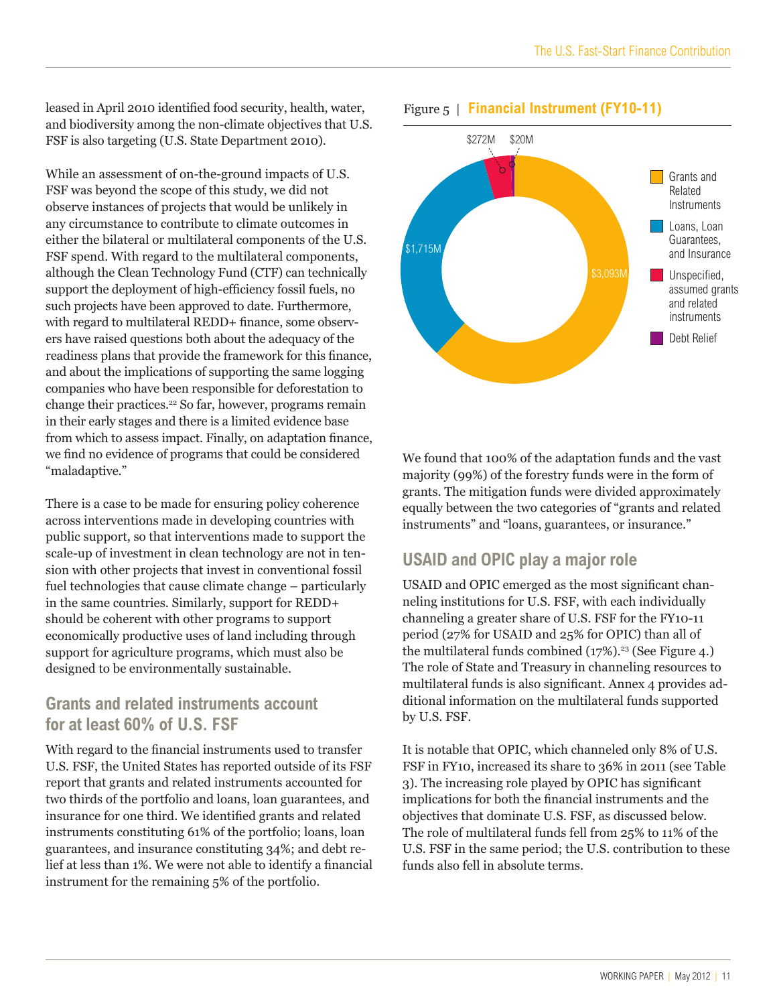leased in April 2010 identified food security, health, water, and biodiversity among the non-climate objectives that U.S. FSF is also targeting (U.S. State Department 2010).

While an assessment of on-the-ground impacts of U.S. FSF was beyond the scope of this study, we did not observe instances of projects that would be unlikely in any circumstance to contribute to climate outcomes in either the bilateral or multilateral components of the U.S. FSF spend. With regard to the multilateral components, although the Clean Technology Fund (CTF) can technically support the deployment of high-efficiency fossil fuels, no such projects have been approved to date. Furthermore, with regard to multilateral REDD+ finance, some observers have raised questions both about the adequacy of the readiness plans that provide the framework for this finance, and about the implications of supporting the same logging companies who have been responsible for deforestation to change their practices.<sup>22</sup> So far, however, programs remain in their early stages and there is a limited evidence base from which to assess impact. Finally, on adaptation finance, we find no evidence of programs that could be considered "maladaptive."

There is a case to be made for ensuring policy coherence across interventions made in developing countries with public support, so that interventions made to support the scale-up of investment in clean technology are not in tension with other projects that invest in conventional fossil fuel technologies that cause climate change – particularly in the same countries. Similarly, support for REDD+ should be coherent with other programs to support economically productive uses of land including through support for agriculture programs, which must also be designed to be environmentally sustainable.

#### **Grants and related instruments account for at least 60% of U.S. FSF**

With regard to the financial instruments used to transfer U.S. FSF, the United States has reported outside of its FSF report that grants and related instruments accounted for two thirds of the portfolio and loans, loan guarantees, and insurance for one third. We identified grants and related instruments constituting 61% of the portfolio; loans, loan guarantees, and insurance constituting 34%; and debt relief at less than 1%. We were not able to identify a financial instrument for the remaining 5% of the portfolio.



#### Figure 5 | **Financial Instrument (FY10-11)**

We found that 100% of the adaptation funds and the vast majority (99%) of the forestry funds were in the form of grants. The mitigation funds were divided approximately equally between the two categories of "grants and related instruments" and "loans, guarantees, or insurance."

#### **USAID and OPIC play a major role**

USAID and OPIC emerged as the most significant channeling institutions for U.S. FSF, with each individually channeling a greater share of U.S. FSF for the FY10-11 period (27% for USAID and 25% for OPIC) than all of the multilateral funds combined  $(17\%)$ .<sup>23</sup> (See Figure 4.) The role of State and Treasury in channeling resources to multilateral funds is also significant. Annex 4 provides additional information on the multilateral funds supported by U.S. FSF.

It is notable that OPIC, which channeled only 8% of U.S. FSF in FY10, increased its share to 36% in 2011 (see Table 3). The increasing role played by OPIC has significant implications for both the financial instruments and the objectives that dominate U.S. FSF, as discussed below. The role of multilateral funds fell from 25% to 11% of the U.S. FSF in the same period; the U.S. contribution to these funds also fell in absolute terms.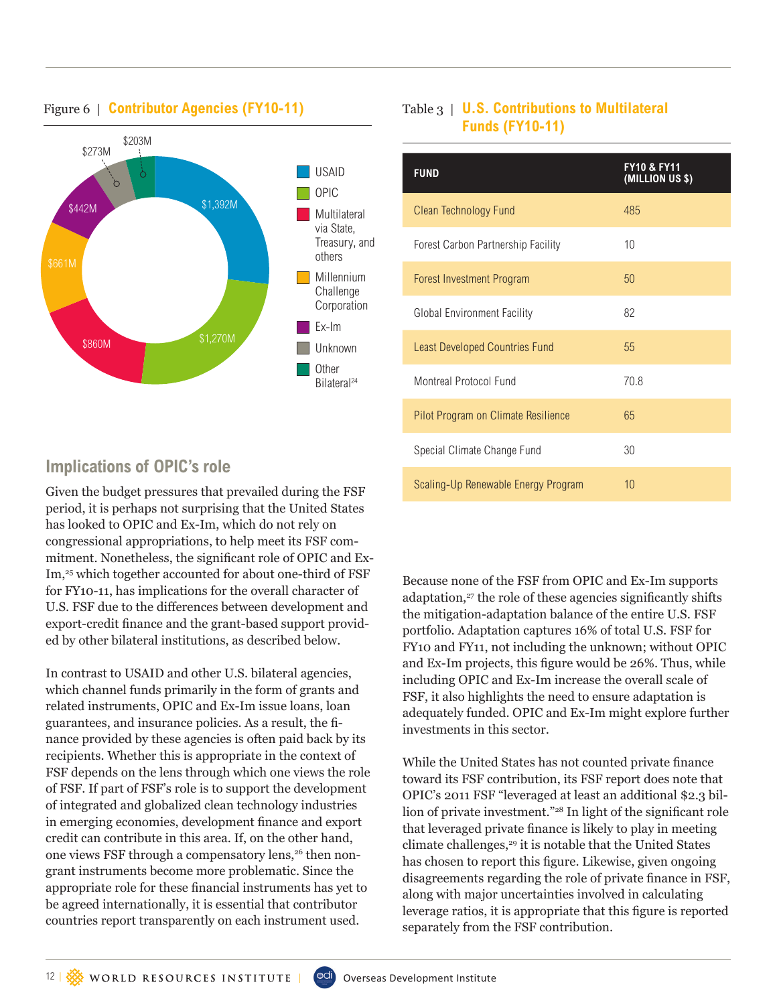

#### Figure 6 | **Contributor Agencies (FY10-11)**

### Table 3 | **U.S. Contributions to Multilateral Funds (FY10-11)**

| <b>FUND</b>                           | <b>FY10 &amp; FY11</b><br>(MILLION US \$) |
|---------------------------------------|-------------------------------------------|
| Clean Technology Fund                 | 485                                       |
| Forest Carbon Partnership Facility    | 10                                        |
| Forest Investment Program             | 50                                        |
| <b>Global Environment Facility</b>    | 82                                        |
| <b>Least Developed Countries Fund</b> | 55                                        |
| Montreal Protocol Fund                | 70.8                                      |
| Pilot Program on Climate Resilience   | 65                                        |
| Special Climate Change Fund           | 30                                        |
| Scaling-Up Renewable Energy Program   | 10                                        |

## **Implications of OPIC's role**

Given the budget pressures that prevailed during the FSF period, it is perhaps not surprising that the United States has looked to OPIC and Ex-Im, which do not rely on congressional appropriations, to help meet its FSF commitment. Nonetheless, the significant role of OPIC and Ex-Im,<sup>25</sup> which together accounted for about one-third of FSF for FY10-11, has implications for the overall character of U.S. FSF due to the differences between development and export-credit finance and the grant-based support provided by other bilateral institutions, as described below.

In contrast to USAID and other U.S. bilateral agencies, which channel funds primarily in the form of grants and related instruments, OPIC and Ex-Im issue loans, loan guarantees, and insurance policies. As a result, the finance provided by these agencies is often paid back by its recipients. Whether this is appropriate in the context of FSF depends on the lens through which one views the role of FSF. If part of FSF's role is to support the development of integrated and globalized clean technology industries in emerging economies, development finance and export credit can contribute in this area. If, on the other hand, one views FSF through a compensatory lens,<sup>26</sup> then nongrant instruments become more problematic. Since the appropriate role for these financial instruments has yet to be agreed internationally, it is essential that contributor countries report transparently on each instrument used.

Because none of the FSF from OPIC and Ex-Im supports adaptation,<sup>27</sup> the role of these agencies significantly shifts the mitigation-adaptation balance of the entire U.S. FSF portfolio. Adaptation captures 16% of total U.S. FSF for FY10 and FY11, not including the unknown; without OPIC and Ex-Im projects, this figure would be 26%. Thus, while including OPIC and Ex-Im increase the overall scale of FSF, it also highlights the need to ensure adaptation is adequately funded. OPIC and Ex-Im might explore further investments in this sector.

While the United States has not counted private finance toward its FSF contribution, its FSF report does note that OPIC's 2011 FSF "leveraged at least an additional \$2.3 billion of private investment."28 In light of the significant role that leveraged private finance is likely to play in meeting climate challenges,<sup>29</sup> it is notable that the United States has chosen to report this figure. Likewise, given ongoing disagreements regarding the role of private finance in FSF, along with major uncertainties involved in calculating leverage ratios, it is appropriate that this figure is reported separately from the FSF contribution.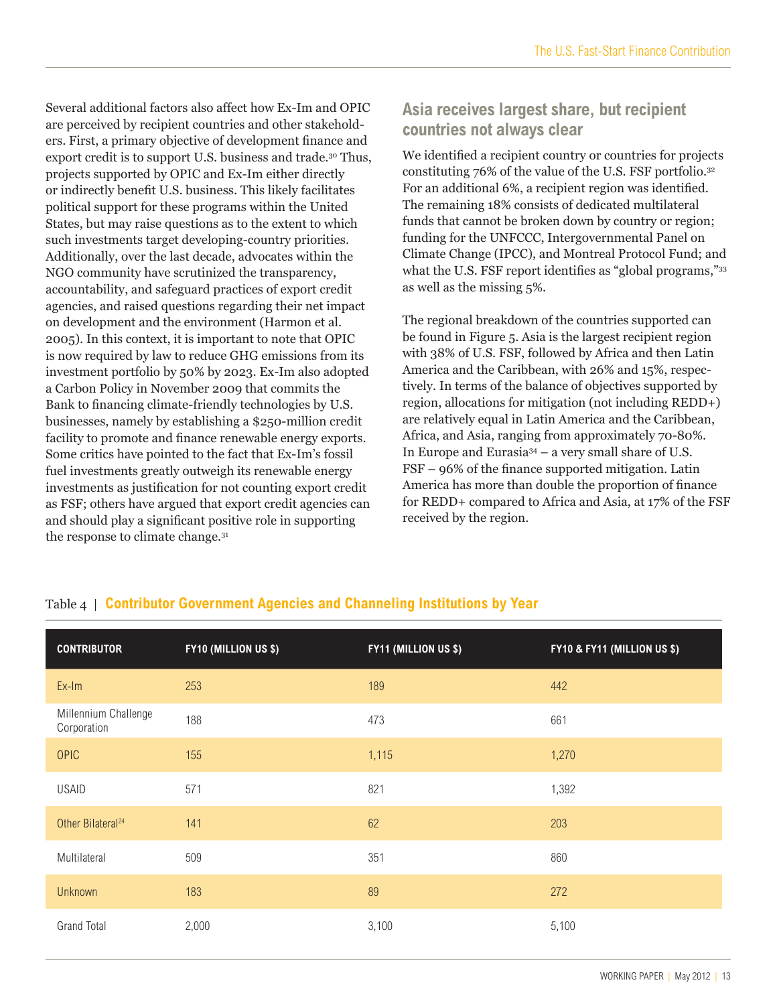Several additional factors also affect how Ex-Im and OPIC are perceived by recipient countries and other stakeholders. First, a primary objective of development finance and export credit is to support U.S. business and trade.30 Thus, projects supported by OPIC and Ex-Im either directly or indirectly benefit U.S. business. This likely facilitates political support for these programs within the United States, but may raise questions as to the extent to which such investments target developing-country priorities. Additionally, over the last decade, advocates within the NGO community have scrutinized the transparency, accountability, and safeguard practices of export credit agencies, and raised questions regarding their net impact on development and the environment (Harmon et al. 2005). In this context, it is important to note that OPIC is now required by law to reduce GHG emissions from its investment portfolio by 50% by 2023. Ex-Im also adopted a Carbon Policy in November 2009 that commits the Bank to financing climate-friendly technologies by U.S. businesses, namely by establishing a \$250-million credit facility to promote and finance renewable energy exports. Some critics have pointed to the fact that Ex-Im's fossil fuel investments greatly outweigh its renewable energy investments as justification for not counting export credit as FSF; others have argued that export credit agencies can and should play a significant positive role in supporting the response to climate change.<sup>31</sup>

### **Asia receives largest share, but recipient countries not always clear**

We identified a recipient country or countries for projects constituting 76% of the value of the U.S. FSF portfolio.32 For an additional 6%, a recipient region was identified. The remaining 18% consists of dedicated multilateral funds that cannot be broken down by country or region; funding for the UNFCCC, Intergovernmental Panel on Climate Change (IPCC), and Montreal Protocol Fund; and what the U.S. FSF report identifies as "global programs,"<sup>33</sup> as well as the missing 5%.

The regional breakdown of the countries supported can be found in Figure 5. Asia is the largest recipient region with 38% of U.S. FSF, followed by Africa and then Latin America and the Caribbean, with 26% and 15%, respectively. In terms of the balance of objectives supported by region, allocations for mitigation (not including REDD+) are relatively equal in Latin America and the Caribbean, Africa, and Asia, ranging from approximately 70-80%. In Europe and Eurasia34 – a very small share of U.S. FSF – 96% of the finance supported mitigation. Latin America has more than double the proportion of finance for REDD+ compared to Africa and Asia, at 17% of the FSF received by the region.

| <b>CONTRIBUTOR</b>                  | <b>FY10 (MILLION US \$)</b> | FY11 (MILLION US \$) | FY10 & FY11 (MILLION US \$) |
|-------------------------------------|-----------------------------|----------------------|-----------------------------|
| Ex-Im                               | 253                         | 189                  | 442                         |
| Millennium Challenge<br>Corporation | 188                         | 473                  | 661                         |
| <b>OPIC</b>                         | 155                         | 1,115                | 1,270                       |
| <b>USAID</b>                        | 571                         | 821                  | 1,392                       |
| Other Bilateral <sup>24</sup>       | 141                         | 62                   | 203                         |
| Multilateral                        | 509                         | 351                  | 860                         |
| <b>Unknown</b>                      | 183                         | 89                   | 272                         |
| <b>Grand Total</b>                  | 2,000                       | 3,100                | 5,100                       |

### Table 4 | **Contributor Government Agencies and Channeling Institutions by Year**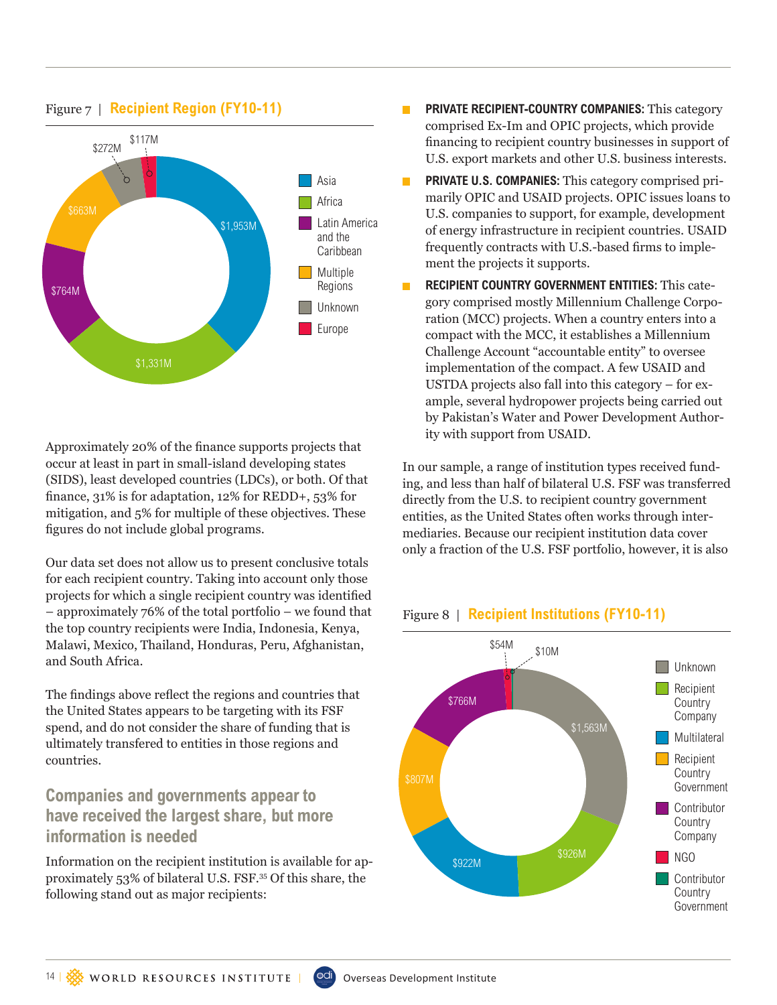

#### Figure 7 | **Recipient Region (FY10-11)**

Approximately 20% of the finance supports projects that occur at least in part in small-island developing states (SIDS), least developed countries (LDCs), or both. Of that finance, 31% is for adaptation, 12% for REDD+, 53% for mitigation, and 5% for multiple of these objectives. These figures do not include global programs.

Our data set does not allow us to present conclusive totals for each recipient country. Taking into account only those projects for which a single recipient country was identified – approximately 76% of the total portfolio – we found that the top country recipients were India, Indonesia, Kenya, Malawi, Mexico, Thailand, Honduras, Peru, Afghanistan, and South Africa.

The findings above reflect the regions and countries that the United States appears to be targeting with its FSF spend, and do not consider the share of funding that is ultimately transfered to entities in those regions and countries.

### **Companies and governments appear to have received the largest share, but more information is needed**

Information on the recipient institution is available for approximately 53% of bilateral U.S. FSF.<sup>35</sup> Of this share, the following stand out as major recipients:

- **PRIVATE RECIPIENT-COUNTRY COMPANIES:** This category  $\Box$ comprised Ex-Im and OPIC projects, which provide financing to recipient country businesses in support of U.S. export markets and other U.S. business interests.
- **PRIVATE U.S. COMPANIES:** This category comprised primarily OPIC and USAID projects. OPIC issues loans to U.S. companies to support, for example, development of energy infrastructure in recipient countries. USAID frequently contracts with U.S.-based firms to implement the projects it supports.
- **RECIPIENT COUNTRY GOVERNMENT ENTITIES:** This cate-П gory comprised mostly Millennium Challenge Corporation (MCC) projects. When a country enters into a compact with the MCC, it establishes a Millennium Challenge Account "accountable entity" to oversee implementation of the compact. A few USAID and USTDA projects also fall into this category – for example, several hydropower projects being carried out by Pakistan's Water and Power Development Authority with support from USAID.

In our sample, a range of institution types received funding, and less than half of bilateral U.S. FSF was transferred directly from the U.S. to recipient country government entities, as the United States often works through intermediaries. Because our recipient institution data cover only a fraction of the U.S. FSF portfolio, however, it is also



#### Figure 8 | **Recipient Institutions (FY10-11)**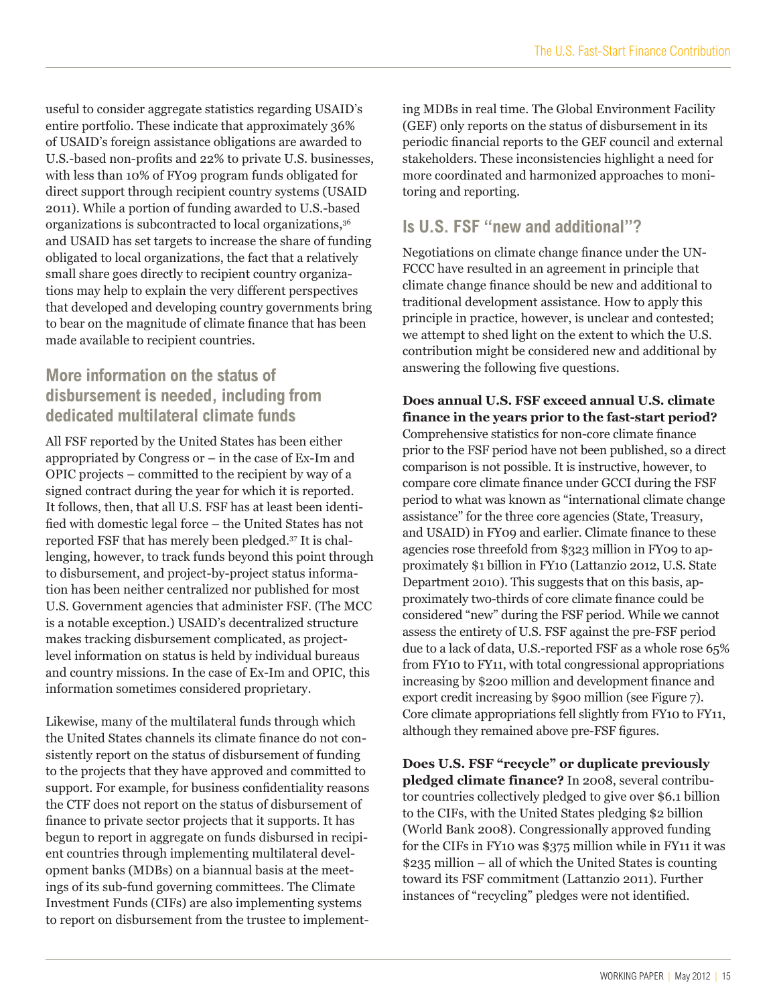useful to consider aggregate statistics regarding USAID's entire portfolio. These indicate that approximately 36% of USAID's foreign assistance obligations are awarded to U.S.-based non-profits and 22% to private U.S. businesses, with less than 10% of FY09 program funds obligated for direct support through recipient country systems (USAID 2011). While a portion of funding awarded to U.S.-based organizations is subcontracted to local organizations,<sup>36</sup> and USAID has set targets to increase the share of funding obligated to local organizations, the fact that a relatively small share goes directly to recipient country organizations may help to explain the very different perspectives that developed and developing country governments bring to bear on the magnitude of climate finance that has been made available to recipient countries.

### **More information on the status of disbursement is needed, including from dedicated multilateral climate funds**

All FSF reported by the United States has been either appropriated by Congress or – in the case of Ex-Im and OPIC projects – committed to the recipient by way of a signed contract during the year for which it is reported. It follows, then, that all U.S. FSF has at least been identified with domestic legal force – the United States has not reported FSF that has merely been pledged.37 It is challenging, however, to track funds beyond this point through to disbursement, and project-by-project status information has been neither centralized nor published for most U.S. Government agencies that administer FSF. (The MCC is a notable exception.) USAID's decentralized structure makes tracking disbursement complicated, as projectlevel information on status is held by individual bureaus and country missions. In the case of Ex-Im and OPIC, this information sometimes considered proprietary.

Likewise, many of the multilateral funds through which the United States channels its climate finance do not consistently report on the status of disbursement of funding to the projects that they have approved and committed to support. For example, for business confidentiality reasons the CTF does not report on the status of disbursement of finance to private sector projects that it supports. It has begun to report in aggregate on funds disbursed in recipient countries through implementing multilateral development banks (MDBs) on a biannual basis at the meetings of its sub-fund governing committees. The Climate Investment Funds (CIFs) are also implementing systems to report on disbursement from the trustee to implement-

ing MDBs in real time. The Global Environment Facility (GEF) only reports on the status of disbursement in its periodic financial reports to the GEF council and external stakeholders. These inconsistencies highlight a need for more coordinated and harmonized approaches to monitoring and reporting.

### **Is U.S. FSF "new and additional"?**

Negotiations on climate change finance under the UN-FCCC have resulted in an agreement in principle that climate change finance should be new and additional to traditional development assistance. How to apply this principle in practice, however, is unclear and contested; we attempt to shed light on the extent to which the U.S. contribution might be considered new and additional by answering the following five questions.

**Does annual U.S. FSF exceed annual U.S. climate finance in the years prior to the fast-start period?** Comprehensive statistics for non-core climate finance prior to the FSF period have not been published, so a direct comparison is not possible. It is instructive, however, to compare core climate finance under GCCI during the FSF period to what was known as "international climate change assistance" for the three core agencies (State, Treasury, and USAID) in FY09 and earlier. Climate finance to these agencies rose threefold from \$323 million in FY09 to approximately \$1 billion in FY10 (Lattanzio 2012, U.S. State Department 2010). This suggests that on this basis, approximately two-thirds of core climate finance could be considered "new" during the FSF period. While we cannot assess the entirety of U.S. FSF against the pre-FSF period due to a lack of data, U.S.-reported FSF as a whole rose 65% from FY10 to FY11, with total congressional appropriations increasing by \$200 million and development finance and export credit increasing by \$900 million (see Figure 7). Core climate appropriations fell slightly from FY10 to FY11, although they remained above pre-FSF figures.

**Does U.S. FSF "recycle" or duplicate previously pledged climate finance?** In 2008, several contributor countries collectively pledged to give over \$6.1 billion to the CIFs, with the United States pledging \$2 billion (World Bank 2008). Congressionally approved funding for the CIFs in FY10 was \$375 million while in FY11 it was \$235 million – all of which the United States is counting toward its FSF commitment (Lattanzio 2011). Further instances of "recycling" pledges were not identified.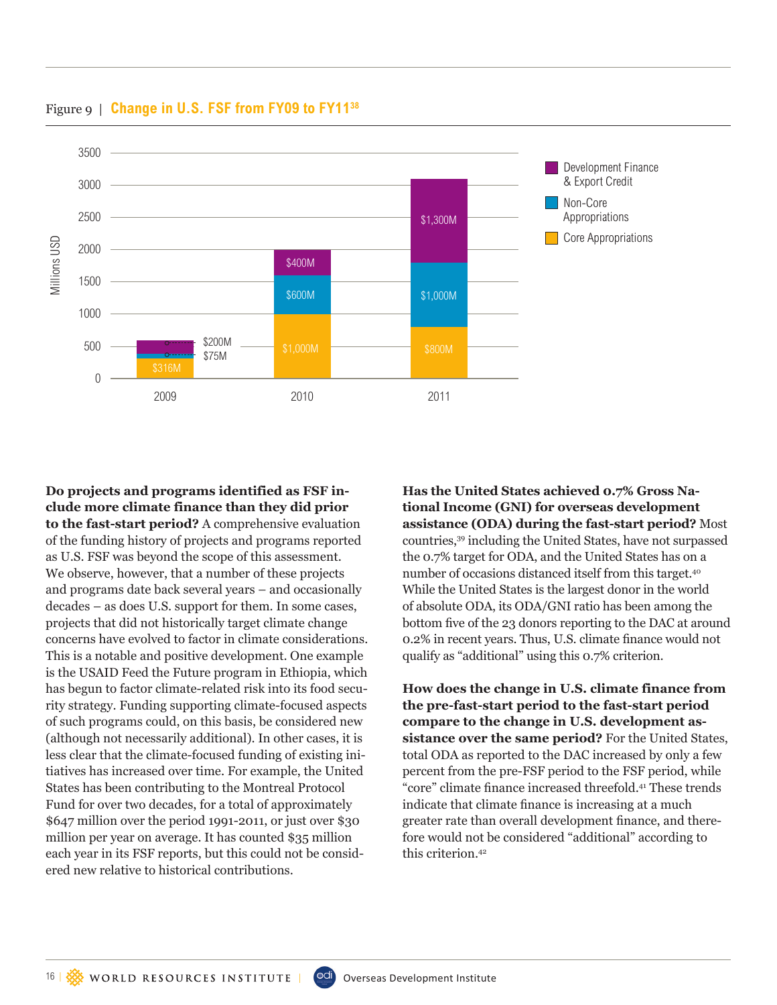

Figure 9 | **Change in U.S. FSF from FY09 to FY1138**

**Do projects and programs identified as FSF include more climate finance than they did prior to the fast-start period?** A comprehensive evaluation of the funding history of projects and programs reported as U.S. FSF was beyond the scope of this assessment. We observe, however, that a number of these projects and programs date back several years – and occasionally decades – as does U.S. support for them. In some cases, projects that did not historically target climate change concerns have evolved to factor in climate considerations. This is a notable and positive development. One example is the USAID Feed the Future program in Ethiopia, which has begun to factor climate-related risk into its food security strategy. Funding supporting climate-focused aspects of such programs could, on this basis, be considered new (although not necessarily additional). In other cases, it is less clear that the climate-focused funding of existing initiatives has increased over time. For example, the United States has been contributing to the Montreal Protocol Fund for over two decades, for a total of approximately \$647 million over the period 1991-2011, or just over \$30 million per year on average. It has counted \$35 million each year in its FSF reports, but this could not be considered new relative to historical contributions.

**Has the United States achieved 0.7% Gross National Income (GNI) for overseas development assistance (ODA) during the fast-start period?** Most countries,39 including the United States, have not surpassed the 0.7% target for ODA, and the United States has on a number of occasions distanced itself from this target.<sup>40</sup> While the United States is the largest donor in the world of absolute ODA, its ODA/GNI ratio has been among the bottom five of the 23 donors reporting to the DAC at around 0.2% in recent years. Thus, U.S. climate finance would not qualify as "additional" using this 0.7% criterion.

**How does the change in U.S. climate finance from the pre-fast-start period to the fast-start period compare to the change in U.S. development assistance over the same period?** For the United States, total ODA as reported to the DAC increased by only a few percent from the pre-FSF period to the FSF period, while "core" climate finance increased threefold.41 These trends indicate that climate finance is increasing at a much greater rate than overall development finance, and therefore would not be considered "additional" according to this criterion.<sup>42</sup>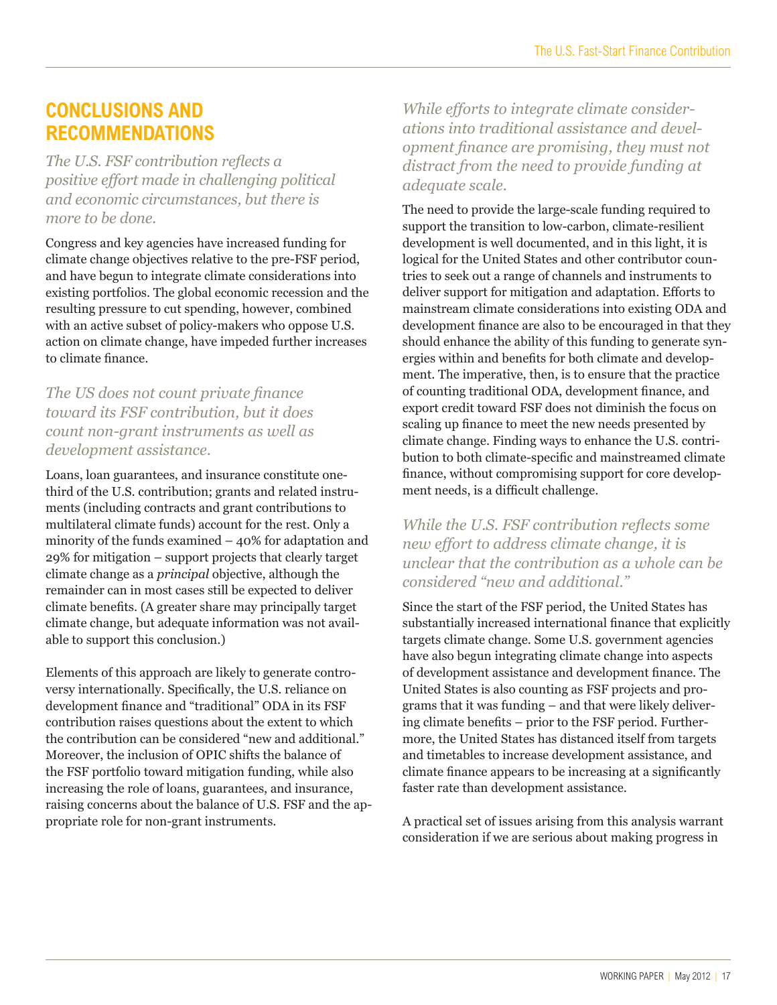# **CONCLUSIONS AND RECOMMENDATIONS**

*The U.S. FSF contribution reflects a positive effort made in challenging political and economic circumstances, but there is more to be done.* 

Congress and key agencies have increased funding for climate change objectives relative to the pre-FSF period, and have begun to integrate climate considerations into existing portfolios. The global economic recession and the resulting pressure to cut spending, however, combined with an active subset of policy-makers who oppose U.S. action on climate change, have impeded further increases to climate finance.

*The US does not count private finance toward its FSF contribution, but it does count non-grant instruments as well as development assistance.*

Loans, loan guarantees, and insurance constitute onethird of the U.S. contribution; grants and related instruments (including contracts and grant contributions to multilateral climate funds) account for the rest. Only a minority of the funds examined – 40% for adaptation and 29% for mitigation – support projects that clearly target climate change as a *principal* objective, although the remainder can in most cases still be expected to deliver climate benefits. (A greater share may principally target climate change, but adequate information was not available to support this conclusion.)

Elements of this approach are likely to generate controversy internationally. Specifically, the U.S. reliance on development finance and "traditional" ODA in its FSF contribution raises questions about the extent to which the contribution can be considered "new and additional." Moreover, the inclusion of OPIC shifts the balance of the FSF portfolio toward mitigation funding, while also increasing the role of loans, guarantees, and insurance, raising concerns about the balance of U.S. FSF and the appropriate role for non-grant instruments.

*While efforts to integrate climate considerations into traditional assistance and development finance are promising, they must not distract from the need to provide funding at adequate scale.*

The need to provide the large-scale funding required to support the transition to low-carbon, climate-resilient development is well documented, and in this light, it is logical for the United States and other contributor countries to seek out a range of channels and instruments to deliver support for mitigation and adaptation. Efforts to mainstream climate considerations into existing ODA and development finance are also to be encouraged in that they should enhance the ability of this funding to generate synergies within and benefits for both climate and development. The imperative, then, is to ensure that the practice of counting traditional ODA, development finance, and export credit toward FSF does not diminish the focus on scaling up finance to meet the new needs presented by climate change. Finding ways to enhance the U.S. contribution to both climate-specific and mainstreamed climate finance, without compromising support for core development needs, is a difficult challenge.

#### *While the U.S. FSF contribution reflects some new effort to address climate change, it is unclear that the contribution as a whole can be considered "new and additional."*

Since the start of the FSF period, the United States has substantially increased international finance that explicitly targets climate change. Some U.S. government agencies have also begun integrating climate change into aspects of development assistance and development finance. The United States is also counting as FSF projects and programs that it was funding – and that were likely delivering climate benefits – prior to the FSF period. Furthermore, the United States has distanced itself from targets and timetables to increase development assistance, and climate finance appears to be increasing at a significantly faster rate than development assistance.

A practical set of issues arising from this analysis warrant consideration if we are serious about making progress in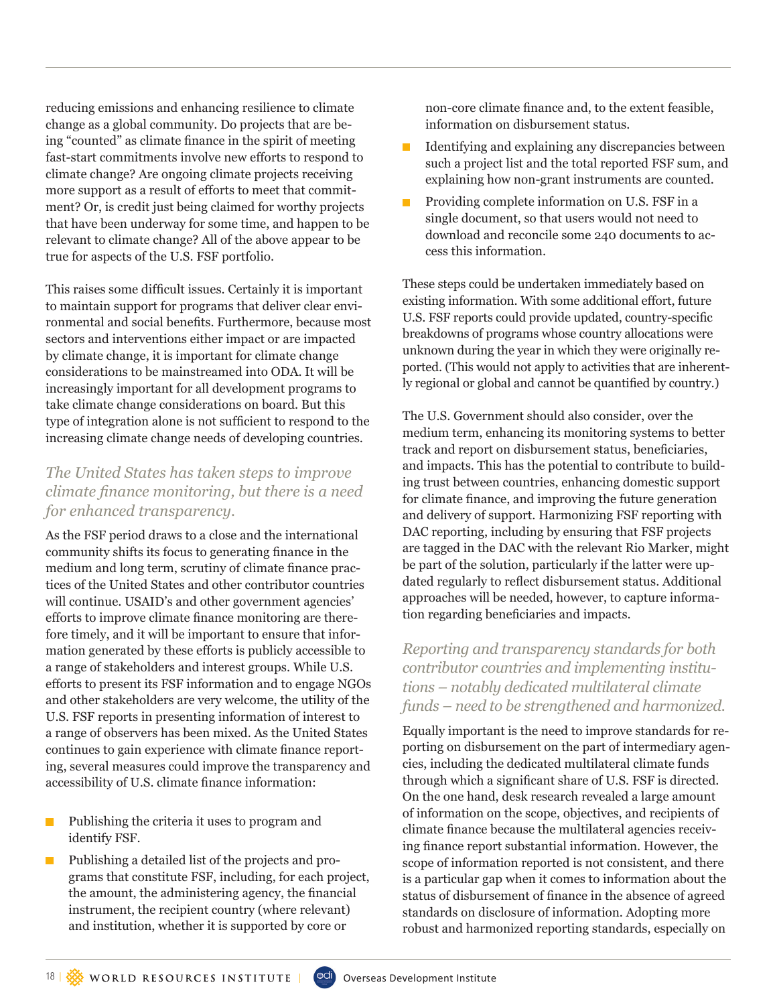reducing emissions and enhancing resilience to climate change as a global community. Do projects that are being "counted" as climate finance in the spirit of meeting fast-start commitments involve new efforts to respond to climate change? Are ongoing climate projects receiving more support as a result of efforts to meet that commitment? Or, is credit just being claimed for worthy projects that have been underway for some time, and happen to be relevant to climate change? All of the above appear to be true for aspects of the U.S. FSF portfolio.

This raises some difficult issues. Certainly it is important to maintain support for programs that deliver clear environmental and social benefits. Furthermore, because most sectors and interventions either impact or are impacted by climate change, it is important for climate change considerations to be mainstreamed into ODA. It will be increasingly important for all development programs to take climate change considerations on board. But this type of integration alone is not sufficient to respond to the increasing climate change needs of developing countries.

#### *The United States has taken steps to improve climate finance monitoring, but there is a need for enhanced transparency.*

As the FSF period draws to a close and the international community shifts its focus to generating finance in the medium and long term, scrutiny of climate finance practices of the United States and other contributor countries will continue. USAID's and other government agencies' efforts to improve climate finance monitoring are therefore timely, and it will be important to ensure that information generated by these efforts is publicly accessible to a range of stakeholders and interest groups. While U.S. efforts to present its FSF information and to engage NGOs and other stakeholders are very welcome, the utility of the U.S. FSF reports in presenting information of interest to a range of observers has been mixed. As the United States continues to gain experience with climate finance reporting, several measures could improve the transparency and accessibility of U.S. climate finance information:

- **Publishing the criteria it uses to program and** identify FSF.
- $\blacksquare$  Publishing a detailed list of the projects and programs that constitute FSF, including, for each project, the amount, the administering agency, the financial instrument, the recipient country (where relevant) and institution, whether it is supported by core or

non-core climate finance and, to the extent feasible, information on disbursement status.

- Identifying and explaining any discrepancies between such a project list and the total reported FSF sum, and explaining how non-grant instruments are counted.
- Providing complete information on U.S. FSF in a single document, so that users would not need to download and reconcile some 240 documents to access this information.

These steps could be undertaken immediately based on existing information. With some additional effort, future U.S. FSF reports could provide updated, country-specific breakdowns of programs whose country allocations were unknown during the year in which they were originally reported. (This would not apply to activities that are inherently regional or global and cannot be quantified by country.)

The U.S. Government should also consider, over the medium term, enhancing its monitoring systems to better track and report on disbursement status, beneficiaries, and impacts. This has the potential to contribute to building trust between countries, enhancing domestic support for climate finance, and improving the future generation and delivery of support. Harmonizing FSF reporting with DAC reporting, including by ensuring that FSF projects are tagged in the DAC with the relevant Rio Marker, might be part of the solution, particularly if the latter were updated regularly to reflect disbursement status. Additional approaches will be needed, however, to capture information regarding beneficiaries and impacts.

*Reporting and transparency standards for both contributor countries and implementing institutions – notably dedicated multilateral climate funds – need to be strengthened and harmonized.*

Equally important is the need to improve standards for reporting on disbursement on the part of intermediary agencies, including the dedicated multilateral climate funds through which a significant share of U.S. FSF is directed. On the one hand, desk research revealed a large amount of information on the scope, objectives, and recipients of climate finance because the multilateral agencies receiving finance report substantial information. However, the scope of information reported is not consistent, and there is a particular gap when it comes to information about the status of disbursement of finance in the absence of agreed standards on disclosure of information. Adopting more robust and harmonized reporting standards, especially on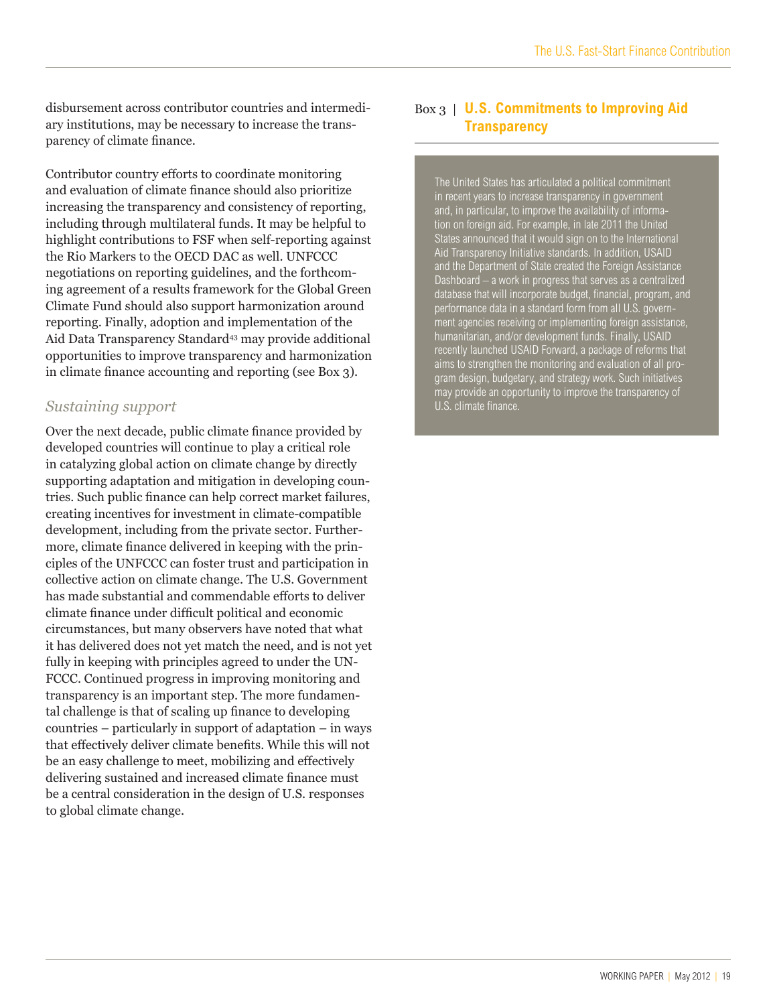disbursement across contributor countries and intermediary institutions, may be necessary to increase the transparency of climate finance.

Contributor country efforts to coordinate monitoring and evaluation of climate finance should also prioritize increasing the transparency and consistency of reporting, including through multilateral funds. It may be helpful to highlight contributions to FSF when self-reporting against the Rio Markers to the OECD DAC as well. UNFCCC negotiations on reporting guidelines, and the forthcoming agreement of a results framework for the Global Green Climate Fund should also support harmonization around reporting. Finally, adoption and implementation of the Aid Data Transparency Standard<sup>43</sup> may provide additional opportunities to improve transparency and harmonization in climate finance accounting and reporting (see Box 3).

#### *Sustaining support*

Over the next decade, public climate finance provided by developed countries will continue to play a critical role in catalyzing global action on climate change by directly supporting adaptation and mitigation in developing countries. Such public finance can help correct market failures, creating incentives for investment in climate-compatible development, including from the private sector. Furthermore, climate finance delivered in keeping with the principles of the UNFCCC can foster trust and participation in collective action on climate change. The U.S. Government has made substantial and commendable efforts to deliver climate finance under difficult political and economic circumstances, but many observers have noted that what it has delivered does not yet match the need, and is not yet fully in keeping with principles agreed to under the UN-FCCC. Continued progress in improving monitoring and transparency is an important step. The more fundamental challenge is that of scaling up finance to developing countries – particularly in support of adaptation – in ways that effectively deliver climate benefits. While this will not be an easy challenge to meet, mobilizing and effectively delivering sustained and increased climate finance must be a central consideration in the design of U.S. responses to global climate change.

### Box 3 | **U.S. Commitments to Improving Aid Transparency**

The United States has articulated a political commitment in recent years to increase transparency in government and, in particular, to improve the availability of information on foreign aid. For example, in late 2011 the United States announced that it would sign on to the International Aid Transparency Initiative standards. In addition, USAID and the Department of State created the Foreign Assistance Dashboard – a work in progress that serves as a centralized database that will incorporate budget, financial, program, and performance data in a standard form from all U.S. government agencies receiving or implementing foreign assistance, humanitarian, and/or development funds. Finally, USAID recently launched USAID Forward, a package of reforms that aims to strengthen the monitoring and evaluation of all program design, budgetary, and strategy work. Such initiatives may provide an opportunity to improve the transparency of U.S. climate finance.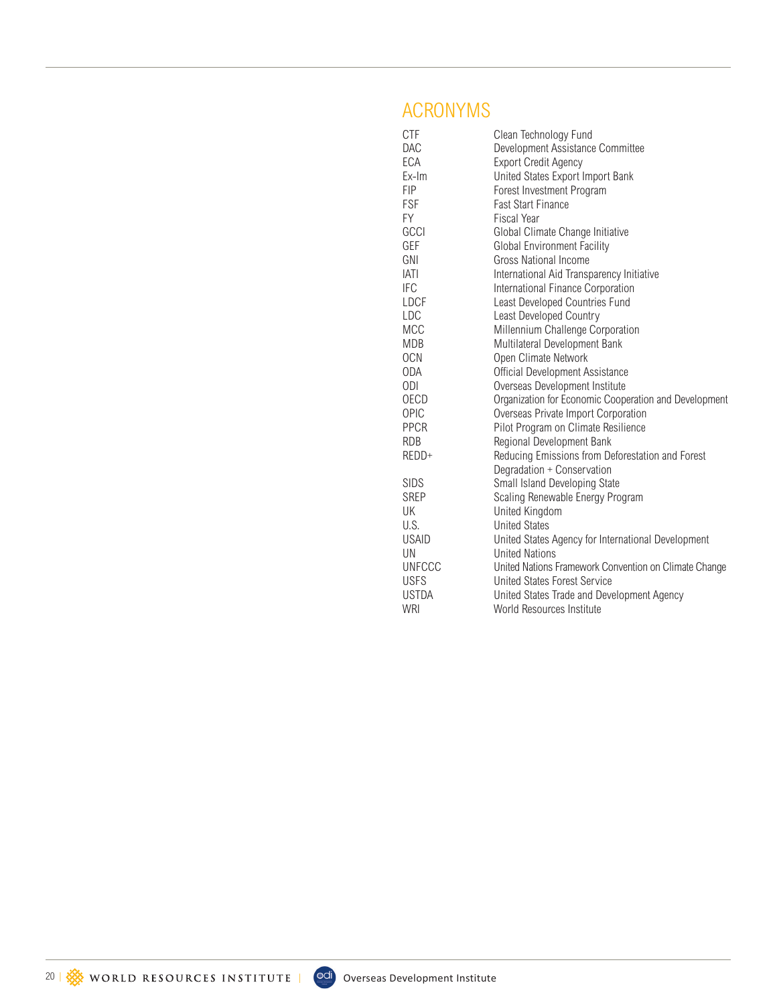# ACRONYMS

| <b>CTF</b>    | Clean Technology Fund                                 |
|---------------|-------------------------------------------------------|
| DAC           | Development Assistance Committee                      |
| ECA           | <b>Export Credit Agency</b>                           |
| Ex-Im         | United States Export Import Bank                      |
| <b>FIP</b>    | Forest Investment Program                             |
| <b>FSF</b>    | <b>Fast Start Finance</b>                             |
| FY            | <b>Fiscal Year</b>                                    |
| GCCI          | Global Climate Change Initiative                      |
| GEF           | <b>Global Environment Facility</b>                    |
| GNI           | Gross National Income                                 |
| <b>IATI</b>   | International Aid Transparency Initiative             |
| <b>IFC</b>    | International Finance Corporation                     |
| <b>LDCF</b>   | Least Developed Countries Fund                        |
| LDC           | Least Developed Country                               |
| <b>MCC</b>    | Millennium Challenge Corporation                      |
| <b>MDB</b>    | Multilateral Development Bank                         |
| <b>OCN</b>    | Open Climate Network                                  |
| ODA           | Official Development Assistance                       |
| 0DI           | Overseas Development Institute                        |
| <b>OECD</b>   | Organization for Economic Cooperation and Development |
| <b>OPIC</b>   | Overseas Private Import Corporation                   |
| <b>PPCR</b>   | Pilot Program on Climate Resilience                   |
| <b>RDB</b>    | Regional Development Bank                             |
| REDD+         | Reducing Emissions from Deforestation and Forest      |
|               | Degradation + Conservation                            |
| <b>SIDS</b>   | Small Island Developing State                         |
| <b>SREP</b>   | Scaling Renewable Energy Program                      |
| UK            | <b>United Kingdom</b>                                 |
| U.S.          | <b>United States</b>                                  |
| <b>USAID</b>  | United States Agency for International Development    |
| UN            | <b>United Nations</b>                                 |
| <b>UNFCCC</b> | United Nations Framework Convention on Climate Change |
| <b>USFS</b>   | United States Forest Service                          |
| <b>USTDA</b>  | United States Trade and Development Agency            |
| WRI           | World Resources Institute                             |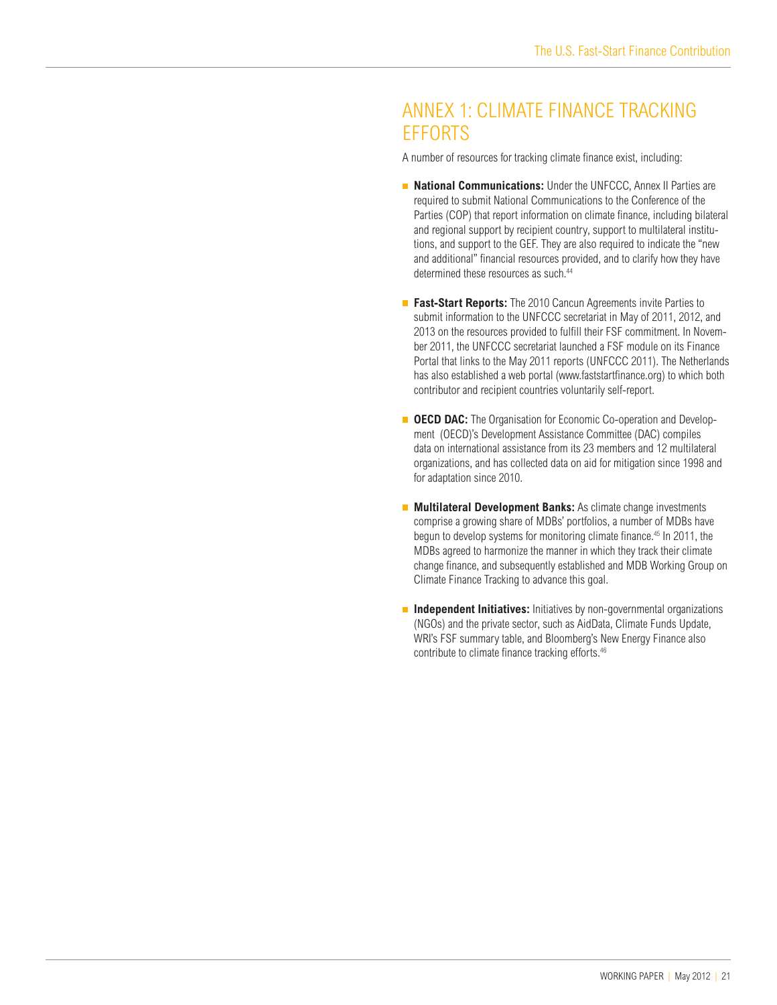# ANNEX 1: CLIMATE FINANCE TRACKING **FFFORTS**

A number of resources for tracking climate finance exist, including:

- **National Communications:** Under the UNFCCC, Annex II Parties are required to submit National Communications to the Conference of the Parties (COP) that report information on climate finance, including bilateral and regional support by recipient country, support to multilateral institutions, and support to the GEF. They are also required to indicate the "new and additional" financial resources provided, and to clarify how they have determined these resources as such.<sup>44</sup>
- **Fast-Start Reports:** The 2010 Cancun Agreements invite Parties to submit information to the UNFCCC secretariat in May of 2011, 2012, and 2013 on the resources provided to fulfill their FSF commitment. In November 2011, the UNFCCC secretariat launched a FSF module on its Finance Portal that links to the May 2011 reports (UNFCCC 2011). The Netherlands has also established a web portal (www.faststartfinance.org) to which both contributor and recipient countries voluntarily self-report.
- **OECD DAC:** The Organisation for Economic Co-operation and Development (OECD)'s Development Assistance Committee (DAC) compiles data on international assistance from its 23 members and 12 multilateral organizations, and has collected data on aid for mitigation since 1998 and for adaptation since 2010.
- **Multilateral Development Banks:** As climate change investments comprise a growing share of MDBs' portfolios, a number of MDBs have begun to develop systems for monitoring climate finance.<sup>45</sup> In 2011, the MDBs agreed to harmonize the manner in which they track their climate change finance, and subsequently established and MDB Working Group on Climate Finance Tracking to advance this goal.
- **Independent Initiatives:** Initiatives by non-governmental organizations (NGOs) and the private sector, such as AidData, Climate Funds Update, WRI's FSF summary table, and Bloomberg's New Energy Finance also contribute to climate finance tracking efforts.46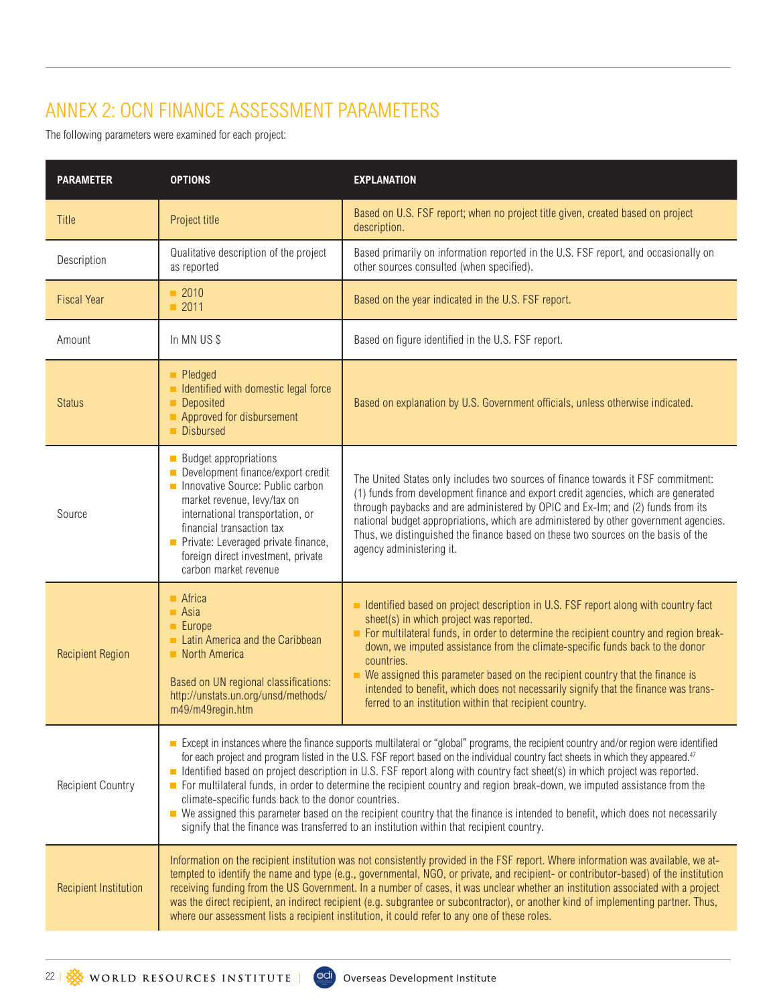# ANNEX 2: OCN FINANCE ASSESSMENT PARAMETERS

The following parameters were examined for each project:

| <b>PARAMETER</b>             | <b>OPTIONS</b>                                                                                                                                                                                                                                                                                                                                                                                                                                                                                                                                                                                                                                                                                                                                                                                                                          | <b>EXPLANATION</b>                                                                                                                                                                                                                                                                                                                                                                                                                                                                                                                                         |  |
|------------------------------|-----------------------------------------------------------------------------------------------------------------------------------------------------------------------------------------------------------------------------------------------------------------------------------------------------------------------------------------------------------------------------------------------------------------------------------------------------------------------------------------------------------------------------------------------------------------------------------------------------------------------------------------------------------------------------------------------------------------------------------------------------------------------------------------------------------------------------------------|------------------------------------------------------------------------------------------------------------------------------------------------------------------------------------------------------------------------------------------------------------------------------------------------------------------------------------------------------------------------------------------------------------------------------------------------------------------------------------------------------------------------------------------------------------|--|
| Title                        | Project title                                                                                                                                                                                                                                                                                                                                                                                                                                                                                                                                                                                                                                                                                                                                                                                                                           | Based on U.S. FSF report; when no project title given, created based on project<br>description.                                                                                                                                                                                                                                                                                                                                                                                                                                                            |  |
| Description                  | Qualitative description of the project<br>as reported                                                                                                                                                                                                                                                                                                                                                                                                                                                                                                                                                                                                                                                                                                                                                                                   | Based primarily on information reported in the U.S. FSF report, and occasionally on<br>other sources consulted (when specified).                                                                                                                                                                                                                                                                                                                                                                                                                           |  |
| <b>Fiscal Year</b>           | $\blacksquare$ 2010<br>$\blacksquare$ 2011                                                                                                                                                                                                                                                                                                                                                                                                                                                                                                                                                                                                                                                                                                                                                                                              | Based on the year indicated in the U.S. FSF report.                                                                                                                                                                                                                                                                                                                                                                                                                                                                                                        |  |
| Amount                       | In MN US\$                                                                                                                                                                                                                                                                                                                                                                                                                                                                                                                                                                                                                                                                                                                                                                                                                              | Based on figure identified in the U.S. FSF report.                                                                                                                                                                                                                                                                                                                                                                                                                                                                                                         |  |
| <b>Status</b>                | <b>Pledged</b><br>In Identified with domestic legal force<br>Deposited<br>Approved for disbursement<br>Disbursed                                                                                                                                                                                                                                                                                                                                                                                                                                                                                                                                                                                                                                                                                                                        | Based on explanation by U.S. Government officials, unless otherwise indicated.                                                                                                                                                                                                                                                                                                                                                                                                                                                                             |  |
| Source                       | <b>Budget appropriations</b><br>Development finance/export credit<br>Innovative Source: Public carbon<br>market revenue, levy/tax on<br>international transportation, or<br>financial transaction tax<br>Private: Leveraged private finance,<br>foreign direct investment, private<br>carbon market revenue                                                                                                                                                                                                                                                                                                                                                                                                                                                                                                                             | The United States only includes two sources of finance towards it FSF commitment:<br>(1) funds from development finance and export credit agencies, which are generated<br>through paybacks and are administered by OPIC and Ex-lm; and (2) funds from its<br>national budget appropriations, which are administered by other government agencies.<br>Thus, we distinguished the finance based on these two sources on the basis of the<br>agency administering it.                                                                                        |  |
| <b>Recipient Region</b>      | $A$ frica<br>$\blacksquare$ Asia<br>$\blacksquare$ Europe<br>Latin America and the Caribbean<br>North America<br>Based on UN regional classifications:<br>http://unstats.un.org/unsd/methods/<br>m49/m49regin.htm                                                                                                                                                                                                                                                                                                                                                                                                                                                                                                                                                                                                                       | ■ Identified based on project description in U.S. FSF report along with country fact<br>sheet(s) in which project was reported.<br>For multilateral funds, in order to determine the recipient country and region break-<br>down, we imputed assistance from the climate-specific funds back to the donor<br>countries.<br>We assigned this parameter based on the recipient country that the finance is<br>intended to benefit, which does not necessarily signify that the finance was trans-<br>ferred to an institution within that recipient country. |  |
| <b>Recipient Country</b>     | Except in instances where the finance supports multilateral or "global" programs, the recipient country and/or region were identified<br>for each project and program listed in the U.S. FSF report based on the individual country fact sheets in which they appeared. <sup>47</sup><br>Identified based on project description in U.S. FSF report along with country fact sheet(s) in which project was reported.<br>For multilateral funds, in order to determine the recipient country and region break-down, we imputed assistance from the<br>climate-specific funds back to the donor countries.<br>• We assigned this parameter based on the recipient country that the finance is intended to benefit, which does not necessarily<br>signify that the finance was transferred to an institution within that recipient country. |                                                                                                                                                                                                                                                                                                                                                                                                                                                                                                                                                            |  |
| <b>Recipient Institution</b> | Information on the recipient institution was not consistently provided in the FSF report. Where information was available, we at-<br>tempted to identify the name and type (e.g., governmental, NGO, or private, and recipient- or contributor-based) of the institution<br>receiving funding from the US Government. In a number of cases, it was unclear whether an institution associated with a project<br>was the direct recipient, an indirect recipient (e.g. subgrantee or subcontractor), or another kind of implementing partner. Thus,<br>where our assessment lists a recipient institution, it could refer to any one of these roles.                                                                                                                                                                                      |                                                                                                                                                                                                                                                                                                                                                                                                                                                                                                                                                            |  |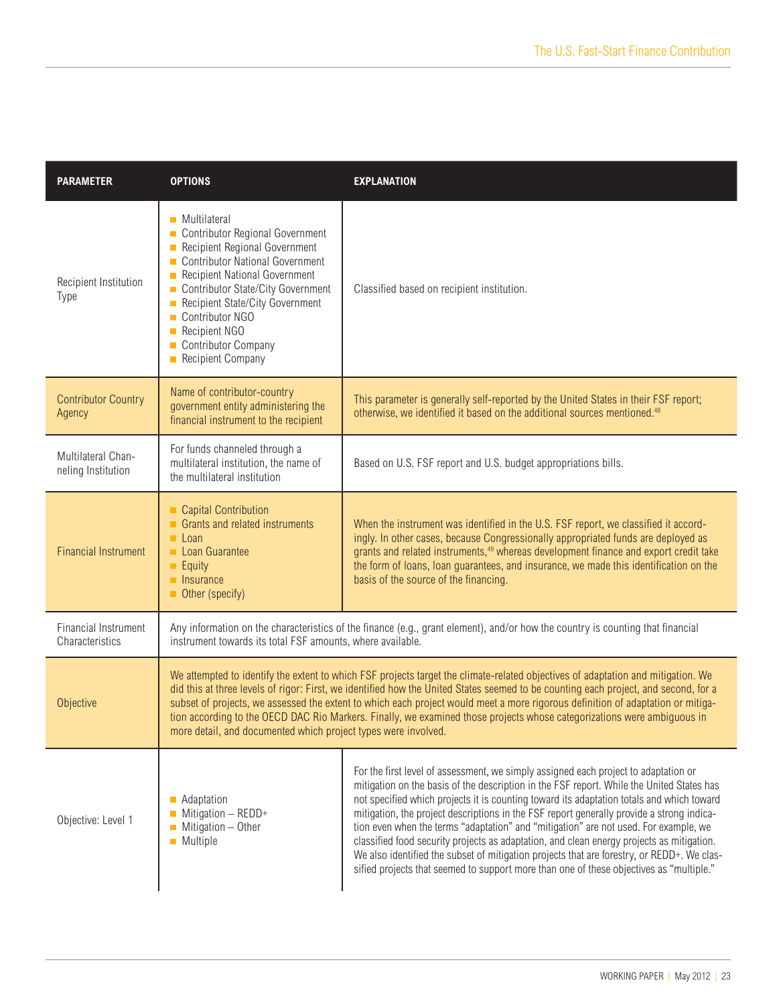| <b>PARAMETER</b>                         | <b>OPTIONS</b>                                                                                                                                                                                                                                                                                                                                                                                                                                                                                                                                                                                          | <b>EXPLANATION</b>                                                                                                                                                                                                                                                                                                                                                                                                                                                                                                                                                                                                                                                                                                                                       |  |
|------------------------------------------|---------------------------------------------------------------------------------------------------------------------------------------------------------------------------------------------------------------------------------------------------------------------------------------------------------------------------------------------------------------------------------------------------------------------------------------------------------------------------------------------------------------------------------------------------------------------------------------------------------|----------------------------------------------------------------------------------------------------------------------------------------------------------------------------------------------------------------------------------------------------------------------------------------------------------------------------------------------------------------------------------------------------------------------------------------------------------------------------------------------------------------------------------------------------------------------------------------------------------------------------------------------------------------------------------------------------------------------------------------------------------|--|
| Recipient Institution<br>Type            | ■ Multilateral<br>Contributor Regional Government<br>Recipient Regional Government<br><b>Contributor National Government</b><br>П<br>Recipient National Government<br>$\Box$<br>Contributor State/City Government<br>$\Box$<br>Recipient State/City Government<br>Contributor NGO<br><b>Recipient NGO</b><br>$\Box$<br>Contributor Company<br><b>Recipient Company</b><br>$\Box$                                                                                                                                                                                                                        | Classified based on recipient institution.                                                                                                                                                                                                                                                                                                                                                                                                                                                                                                                                                                                                                                                                                                               |  |
| <b>Contributor Country</b><br>Agency     | Name of contributor-country<br>government entity administering the<br>financial instrument to the recipient                                                                                                                                                                                                                                                                                                                                                                                                                                                                                             | This parameter is generally self-reported by the United States in their FSF report;<br>otherwise, we identified it based on the additional sources mentioned. <sup>48</sup>                                                                                                                                                                                                                                                                                                                                                                                                                                                                                                                                                                              |  |
| Multilateral Chan-<br>neling Institution | For funds channeled through a<br>multilateral institution, the name of<br>the multilateral institution                                                                                                                                                                                                                                                                                                                                                                                                                                                                                                  | Based on U.S. FSF report and U.S. budget appropriations bills.                                                                                                                                                                                                                                                                                                                                                                                                                                                                                                                                                                                                                                                                                           |  |
| <b>Financial Instrument</b>              | Capital Contribution<br>Grants and related instruments<br>$\blacksquare$ Loan<br>Loan Guarantee<br>$\blacksquare$ Equity<br><b>Insurance</b><br>Other (specify)                                                                                                                                                                                                                                                                                                                                                                                                                                         | When the instrument was identified in the U.S. FSF report, we classified it accord-<br>ingly. In other cases, because Congressionally appropriated funds are deployed as<br>grants and related instruments, <sup>49</sup> whereas development finance and export credit take<br>the form of loans, loan guarantees, and insurance, we made this identification on the<br>basis of the source of the financing.                                                                                                                                                                                                                                                                                                                                           |  |
| Financial Instrument<br>Characteristics  | Any information on the characteristics of the finance (e.g., grant element), and/or how the country is counting that financial<br>instrument towards its total FSF amounts, where available.                                                                                                                                                                                                                                                                                                                                                                                                            |                                                                                                                                                                                                                                                                                                                                                                                                                                                                                                                                                                                                                                                                                                                                                          |  |
| Objective                                | We attempted to identify the extent to which FSF projects target the climate-related objectives of adaptation and mitigation. We<br>did this at three levels of rigor: First, we identified how the United States seemed to be counting each project, and second, for a<br>subset of projects, we assessed the extent to which each project would meet a more rigorous definition of adaptation or mitiga-<br>tion according to the OECD DAC Rio Markers. Finally, we examined those projects whose categorizations were ambiguous in<br>more detail, and documented which project types were involved. |                                                                                                                                                                                                                                                                                                                                                                                                                                                                                                                                                                                                                                                                                                                                                          |  |
| Objective: Level 1                       | Adaptation<br>$\Box$<br>Mitigation $-$ REDD+<br>$\blacksquare$ Mitigation - Other<br><b>Multiple</b>                                                                                                                                                                                                                                                                                                                                                                                                                                                                                                    | For the first level of assessment, we simply assigned each project to adaptation or<br>mitigation on the basis of the description in the FSF report. While the United States has<br>not specified which projects it is counting toward its adaptation totals and which toward<br>mitigation, the project descriptions in the FSF report generally provide a strong indica-<br>tion even when the terms "adaptation" and "mitigation" are not used. For example, we<br>classified food security projects as adaptation, and clean energy projects as mitigation.<br>We also identified the subset of mitigation projects that are forestry, or REDD+. We clas-<br>sified projects that seemed to support more than one of these objectives as "multiple." |  |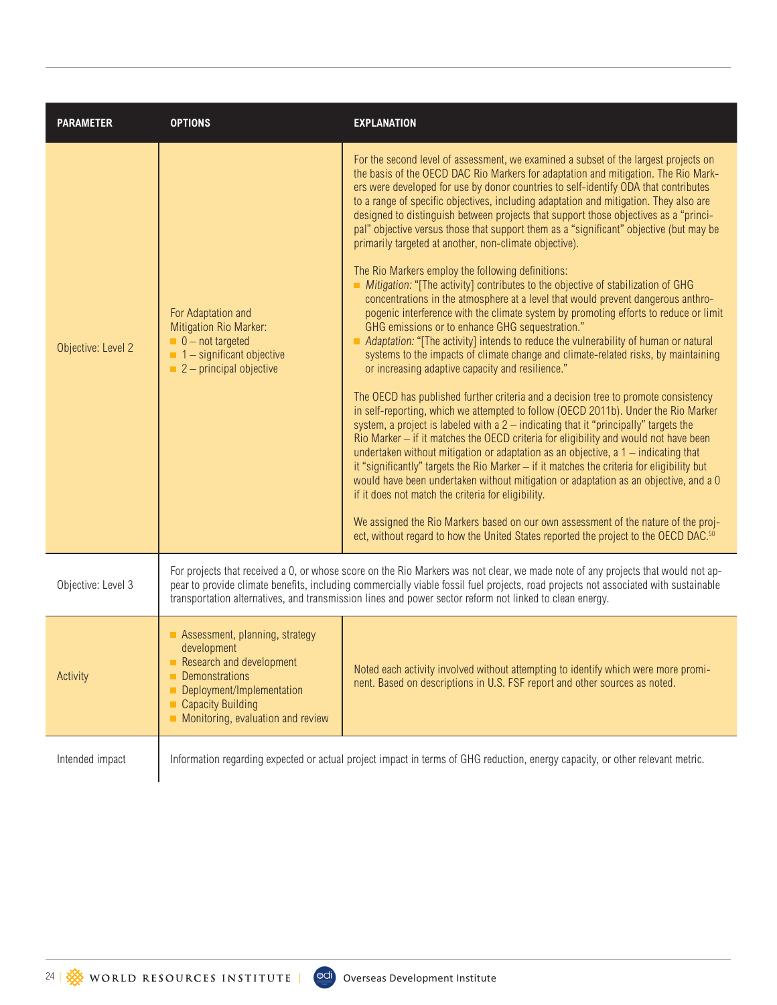| <b>PARAMETER</b>   | <b>OPTIONS</b>                                                                                                                                                                                                                                                                                                                                                                     | <b>EXPLANATION</b>                                                                                                                                                                                                                                                                                                                                                                                                                                                                                                                                                                                                                                                                                                                                                                                                                                                                                                                                                                                                                                                                                                                                                                                                                                                                                                                                                                                                                                                                                                                                                                                                                                                                                                                                                                                                                                                                                                                                                                                                                                                                                       |  |
|--------------------|------------------------------------------------------------------------------------------------------------------------------------------------------------------------------------------------------------------------------------------------------------------------------------------------------------------------------------------------------------------------------------|----------------------------------------------------------------------------------------------------------------------------------------------------------------------------------------------------------------------------------------------------------------------------------------------------------------------------------------------------------------------------------------------------------------------------------------------------------------------------------------------------------------------------------------------------------------------------------------------------------------------------------------------------------------------------------------------------------------------------------------------------------------------------------------------------------------------------------------------------------------------------------------------------------------------------------------------------------------------------------------------------------------------------------------------------------------------------------------------------------------------------------------------------------------------------------------------------------------------------------------------------------------------------------------------------------------------------------------------------------------------------------------------------------------------------------------------------------------------------------------------------------------------------------------------------------------------------------------------------------------------------------------------------------------------------------------------------------------------------------------------------------------------------------------------------------------------------------------------------------------------------------------------------------------------------------------------------------------------------------------------------------------------------------------------------------------------------------------------------------|--|
| Objective: Level 2 | For Adaptation and<br>Mitigation Rio Marker:<br>$\blacksquare$ 0 - not targeted<br>$\blacksquare$ 1 – significant objective<br>$\blacksquare$ 2 – principal objective                                                                                                                                                                                                              | For the second level of assessment, we examined a subset of the largest projects on<br>the basis of the OECD DAC Rio Markers for adaptation and mitigation. The Rio Mark-<br>ers were developed for use by donor countries to self-identify ODA that contributes<br>to a range of specific objectives, including adaptation and mitigation. They also are<br>designed to distinguish between projects that support those objectives as a "princi-<br>pal" objective versus those that support them as a "significant" objective (but may be<br>primarily targeted at another, non-climate objective).<br>The Rio Markers employ the following definitions:<br>Mitigation: "[The activity] contributes to the objective of stabilization of GHG<br>concentrations in the atmosphere at a level that would prevent dangerous anthro-<br>pogenic interference with the climate system by promoting efforts to reduce or limit<br>GHG emissions or to enhance GHG sequestration."<br>Adaptation: "[The activity] intends to reduce the vulnerability of human or natural<br>systems to the impacts of climate change and climate-related risks, by maintaining<br>or increasing adaptive capacity and resilience."<br>The OECD has published further criteria and a decision tree to promote consistency<br>in self-reporting, which we attempted to follow (OECD 2011b). Under the Rio Marker<br>system, a project is labeled with a 2 - indicating that it "principally" targets the<br>Rio Marker - if it matches the OECD criteria for eligibility and would not have been<br>undertaken without mitigation or adaptation as an objective, $a 1 -$ indicating that<br>it "significantly" targets the Rio Marker - if it matches the criteria for eligibility but<br>would have been undertaken without mitigation or adaptation as an objective, and a 0<br>if it does not match the criteria for eligibility.<br>We assigned the Rio Markers based on our own assessment of the nature of the proj-<br>ect, without regard to how the United States reported the project to the OECD DAC. <sup>50</sup> |  |
| Objective: Level 3 | For projects that received a 0, or whose score on the Rio Markers was not clear, we made note of any projects that would not ap-<br>pear to provide climate benefits, including commercially viable fossil fuel projects, road projects not associated with sustainable<br>transportation alternatives, and transmission lines and power sector reform not linked to clean energy. |                                                                                                                                                                                                                                                                                                                                                                                                                                                                                                                                                                                                                                                                                                                                                                                                                                                                                                                                                                                                                                                                                                                                                                                                                                                                                                                                                                                                                                                                                                                                                                                                                                                                                                                                                                                                                                                                                                                                                                                                                                                                                                          |  |
| Activity           | Assessment, planning, strategy<br>development<br>Research and development<br>Demonstrations<br>Deployment/Implementation<br><b>Capacity Building</b><br>Monitoring, evaluation and review                                                                                                                                                                                          | Noted each activity involved without attempting to identify which were more promi-<br>nent. Based on descriptions in U.S. FSF report and other sources as noted.                                                                                                                                                                                                                                                                                                                                                                                                                                                                                                                                                                                                                                                                                                                                                                                                                                                                                                                                                                                                                                                                                                                                                                                                                                                                                                                                                                                                                                                                                                                                                                                                                                                                                                                                                                                                                                                                                                                                         |  |
| Intended impact    | Information regarding expected or actual project impact in terms of GHG reduction, energy capacity, or other relevant metric.                                                                                                                                                                                                                                                      |                                                                                                                                                                                                                                                                                                                                                                                                                                                                                                                                                                                                                                                                                                                                                                                                                                                                                                                                                                                                                                                                                                                                                                                                                                                                                                                                                                                                                                                                                                                                                                                                                                                                                                                                                                                                                                                                                                                                                                                                                                                                                                          |  |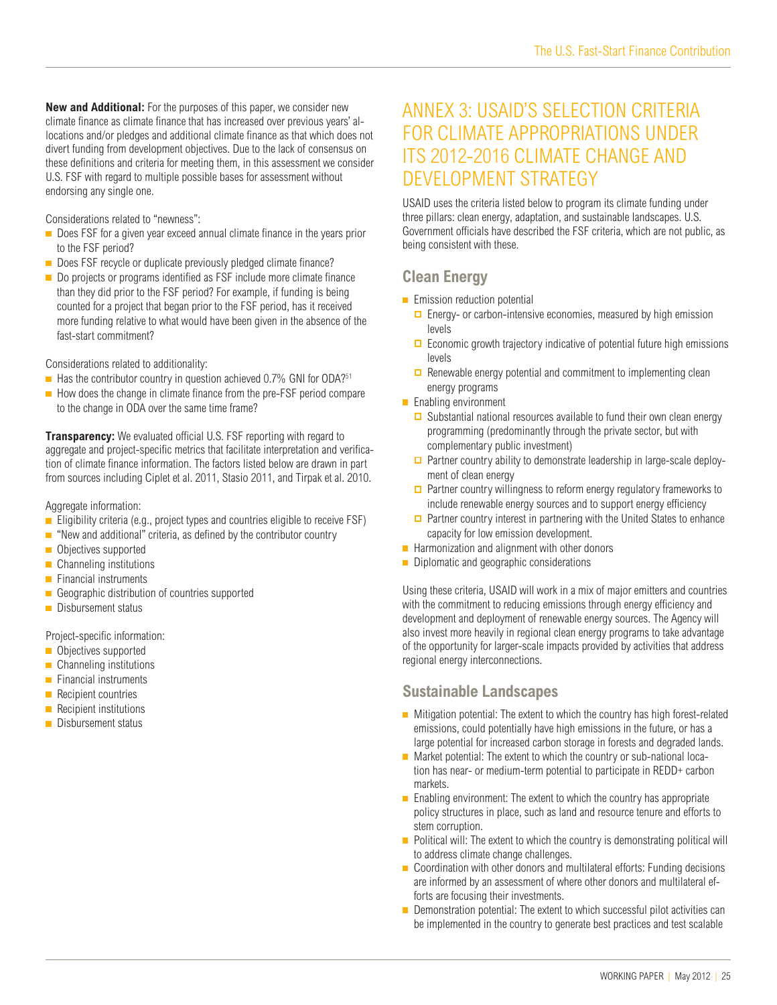**New and Additional:** For the purposes of this paper, we consider new climate finance as climate finance that has increased over previous years' allocations and/or pledges and additional climate finance as that which does not divert funding from development objectives. Due to the lack of consensus on these definitions and criteria for meeting them, in this assessment we consider U.S. FSF with regard to multiple possible bases for assessment without endorsing any single one.

Considerations related to "newness":

- Does FSF for a given year exceed annual climate finance in the years prior to the FSF period?
- Does FSF recycle or duplicate previously pledged climate finance?
- Do projects or programs identified as FSF include more climate finance than they did prior to the FSF period? For example, if funding is being counted for a project that began prior to the FSF period, has it received more funding relative to what would have been given in the absence of the fast-start commitment?

Considerations related to additionality:

- $\blacksquare$  Has the contributor country in question achieved 0.7% GNI for ODA?<sup>51</sup>
- $\blacksquare$  How does the change in climate finance from the pre-FSF period compare to the change in ODA over the same time frame?

**Transparency:** We evaluated official U.S. FSF reporting with regard to aggregate and project-specific metrics that facilitate interpretation and verification of climate finance information. The factors listed below are drawn in part from sources including Ciplet et al. 2011, Stasio 2011, and Tirpak et al. 2010.

Aggregate information:

- Eligibility criteria (e.g., project types and countries eligible to receive  $FSF$ )
- $\blacksquare$  "New and additional" criteria, as defined by the contributor country
- Objectives supported
- **Channeling institutions**
- **Financial instruments**
- Geographic distribution of countries supported
- Disbursement status

Project-specific information:

- Objectives supported
- **Channeling institutions**
- $\blacksquare$  Financial instruments
- **Recipient countries**
- Recipient institutions
- Disbursement status

# ANNEX 3: USAID'S SELECTION CRITERIA FOR CLIMATE APPROPRIATIONS UNDER ITS 2012-2016 CLIMATE CHANGE AND DEVELOPMENT STRATEGY

USAID uses the criteria listed below to program its climate funding under three pillars: clean energy, adaptation, and sustainable landscapes. U.S. Government officials have described the FSF criteria, which are not public, as being consistent with these.

### **Clean Energy**

- **Emission reduction potential** 
	- $\Box$  Energy- or carbon-intensive economies, measured by high emission levels
	- $\Box$  Economic growth trajectory indicative of potential future high emissions levels
	- $\Box$  Renewable energy potential and commitment to implementing clean energy programs
- **Enabling environment** 
	- $\Box$  Substantial national resources available to fund their own clean energy programming (predominantly through the private sector, but with complementary public investment)
	- □ Partner country ability to demonstrate leadership in large-scale deployment of clean energy
	- $\Box$  Partner country willingness to reform energy regulatory frameworks to include renewable energy sources and to support energy efficiency
	- $\Box$  Partner country interest in partnering with the United States to enhance capacity for low emission development.
- $\blacksquare$  Harmonization and alignment with other donors
- Diplomatic and geographic considerations

Using these criteria, USAID will work in a mix of major emitters and countries with the commitment to reducing emissions through energy efficiency and development and deployment of renewable energy sources. The Agency will also invest more heavily in regional clean energy programs to take advantage of the opportunity for larger-scale impacts provided by activities that address regional energy interconnections.

#### **Sustainable Landscapes**

- $\blacksquare$  Mitigation potential: The extent to which the country has high forest-related emissions, could potentially have high emissions in the future, or has a large potential for increased carbon storage in forests and degraded lands.
- Market potential: The extent to which the country or sub-national location has near- or medium-term potential to participate in REDD+ carbon markets.
- **Enabling environment:** The extent to which the country has appropriate policy structures in place, such as land and resource tenure and efforts to stem corruption.
- $\blacksquare$  Political will: The extent to which the country is demonstrating political will to address climate change challenges.
- Coordination with other donors and multilateral efforts: Funding decisions are informed by an assessment of where other donors and multilateral efforts are focusing their investments.
- Demonstration potential: The extent to which successful pilot activities can be implemented in the country to generate best practices and test scalable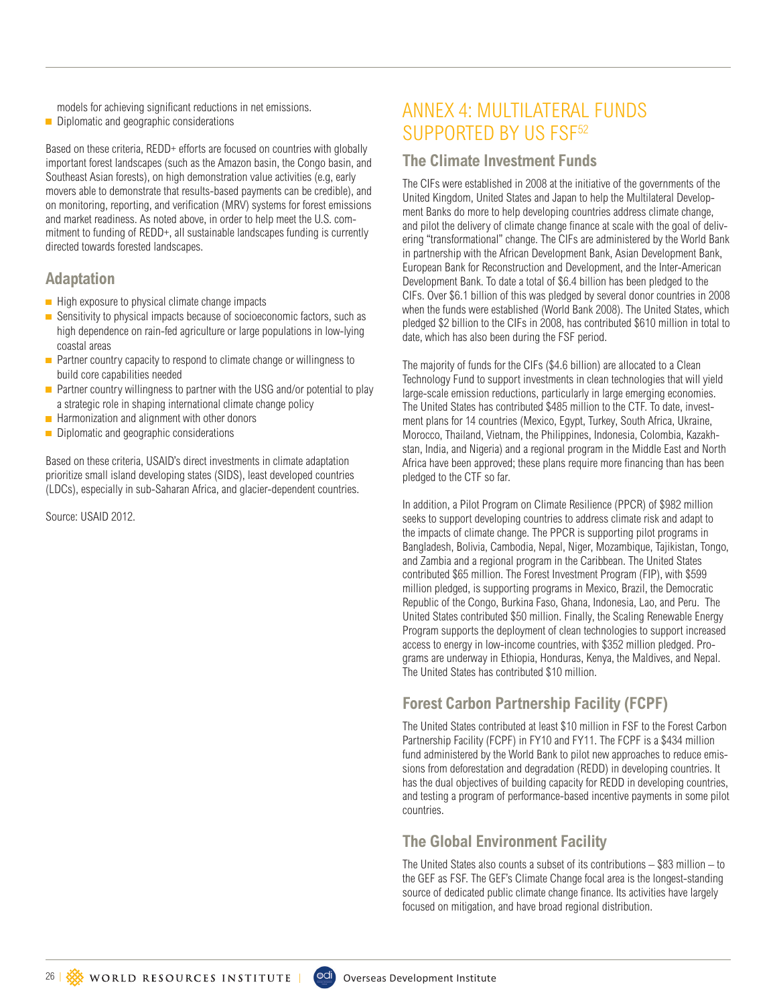models for achieving significant reductions in net emissions.

Diplomatic and geographic considerations

Based on these criteria, REDD+ efforts are focused on countries with globally important forest landscapes (such as the Amazon basin, the Congo basin, and Southeast Asian forests), on high demonstration value activities (e.g, early movers able to demonstrate that results-based payments can be credible), and on monitoring, reporting, and verification (MRV) systems for forest emissions and market readiness. As noted above, in order to help meet the U.S. commitment to funding of REDD+, all sustainable landscapes funding is currently directed towards forested landscapes.

#### **Adaptation**

- $\blacksquare$  High exposure to physical climate change impacts
- Sensitivity to physical impacts because of socioeconomic factors, such as high dependence on rain-fed agriculture or large populations in low-lying coastal areas
- $\blacksquare$  Partner country capacity to respond to climate change or willingness to build core capabilities needed
- **Partner country willingness to partner with the USG and/or potential to play** a strategic role in shaping international climate change policy
- $\blacksquare$  Harmonization and alignment with other donors
- Diplomatic and geographic considerations

Based on these criteria, USAID's direct investments in climate adaptation prioritize small island developing states (SIDS), least developed countries (LDCs), especially in sub-Saharan Africa, and glacier-dependent countries.

Source: USAID 2012.

# ANNEX 4: MULTILATERAL FUNDS SUPPORTED BY US FSF<sup>52</sup>

#### **The Climate Investment Funds**

The CIFs were established in 2008 at the initiative of the governments of the United Kingdom, United States and Japan to help the Multilateral Development Banks do more to help developing countries address climate change, and pilot the delivery of climate change finance at scale with the goal of delivering "transformational" change. The CIFs are administered by the World Bank in partnership with the African Development Bank, Asian Development Bank, European Bank for Reconstruction and Development, and the Inter-American Development Bank. To date a total of \$6.4 billion has been pledged to the CIFs. Over \$6.1 billion of this was pledged by several donor countries in 2008 when the funds were established (World Bank 2008). The United States, which pledged \$2 billion to the CIFs in 2008, has contributed \$610 million in total to date, which has also been during the FSF period.

The majority of funds for the CIFs (\$4.6 billion) are allocated to a Clean Technology Fund to support investments in clean technologies that will yield large-scale emission reductions, particularly in large emerging economies. The United States has contributed \$485 million to the CTF. To date, investment plans for 14 countries (Mexico, Egypt, Turkey, South Africa, Ukraine, Morocco, Thailand, Vietnam, the Philippines, Indonesia, Colombia, Kazakhstan, India, and Nigeria) and a regional program in the Middle East and North Africa have been approved; these plans require more financing than has been pledged to the CTF so far.

In addition, a Pilot Program on Climate Resilience (PPCR) of \$982 million seeks to support developing countries to address climate risk and adapt to the impacts of climate change. The PPCR is supporting pilot programs in Bangladesh, Bolivia, Cambodia, Nepal, Niger, Mozambique, Tajikistan, Tongo, and Zambia and a regional program in the Caribbean. The United States contributed \$65 million. The Forest Investment Program (FIP), with \$599 million pledged, is supporting programs in Mexico, Brazil, the Democratic Republic of the Congo, Burkina Faso, Ghana, Indonesia, Lao, and Peru. The United States contributed \$50 million. Finally, the Scaling Renewable Energy Program supports the deployment of clean technologies to support increased access to energy in low-income countries, with \$352 million pledged. Programs are underway in Ethiopia, Honduras, Kenya, the Maldives, and Nepal. The United States has contributed \$10 million.

### **Forest Carbon Partnership Facility (FCPF)**

The United States contributed at least \$10 million in FSF to the Forest Carbon Partnership Facility (FCPF) in FY10 and FY11. The FCPF is a \$434 million fund administered by the World Bank to pilot new approaches to reduce emissions from deforestation and degradation (REDD) in developing countries. It has the dual objectives of building capacity for REDD in developing countries, and testing a program of performance-based incentive payments in some pilot countries.

### **The Global Environment Facility**

The United States also counts a subset of its contributions  $-$  \$83 million  $-$  to the GEF as FSF. The GEF's Climate Change focal area is the longest-standing source of dedicated public climate change finance. Its activities have largely focused on mitigation, and have broad regional distribution.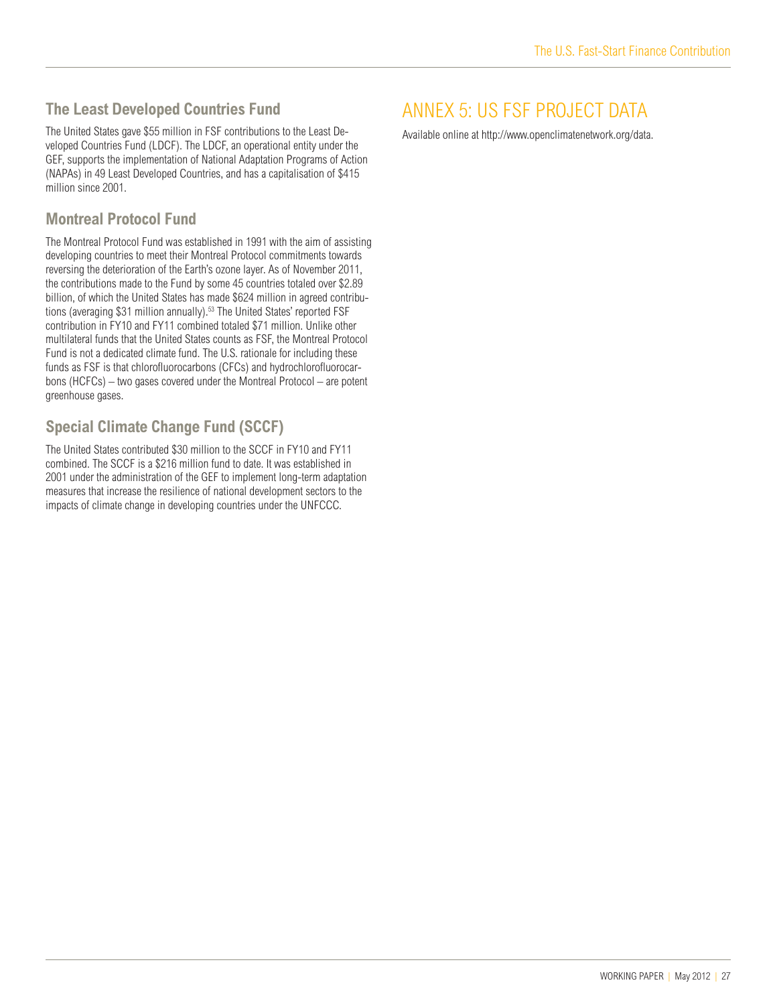### **The Least Developed Countries Fund**

The United States gave \$55 million in FSF contributions to the Least Developed Countries Fund (LDCF). The LDCF, an operational entity under the GEF, supports the implementation of National Adaptation Programs of Action (NAPAs) in 49 Least Developed Countries, and has a capitalisation of \$415 million since 2001.

### **Montreal Protocol Fund**

The Montreal Protocol Fund was established in 1991 with the aim of assisting developing countries to meet their Montreal Protocol commitments towards reversing the deterioration of the Earth's ozone layer. As of November 2011, the contributions made to the Fund by some 45 countries totaled over \$2.89 billion, of which the United States has made \$624 million in agreed contributions (averaging \$31 million annually).<sup>53</sup> The United States' reported FSF contribution in FY10 and FY11 combined totaled \$71 million. Unlike other multilateral funds that the United States counts as FSF, the Montreal Protocol Fund is not a dedicated climate fund. The U.S. rationale for including these funds as FSF is that chlorofluorocarbons (CFCs) and hydrochlorofluorocarbons (HCFCs) – two gases covered under the Montreal Protocol – are potent greenhouse gases.

### **Special Climate Change Fund (SCCF)**

The United States contributed \$30 million to the SCCF in FY10 and FY11 combined. The SCCF is a \$216 million fund to date. It was established in 2001 under the administration of the GEF to implement long-term adaptation measures that increase the resilience of national development sectors to the impacts of climate change in developing countries under the UNFCCC.

# ANNEX 5: US FSF PROJECT DATA

Available online at http://www.openclimatenetwork.org/data.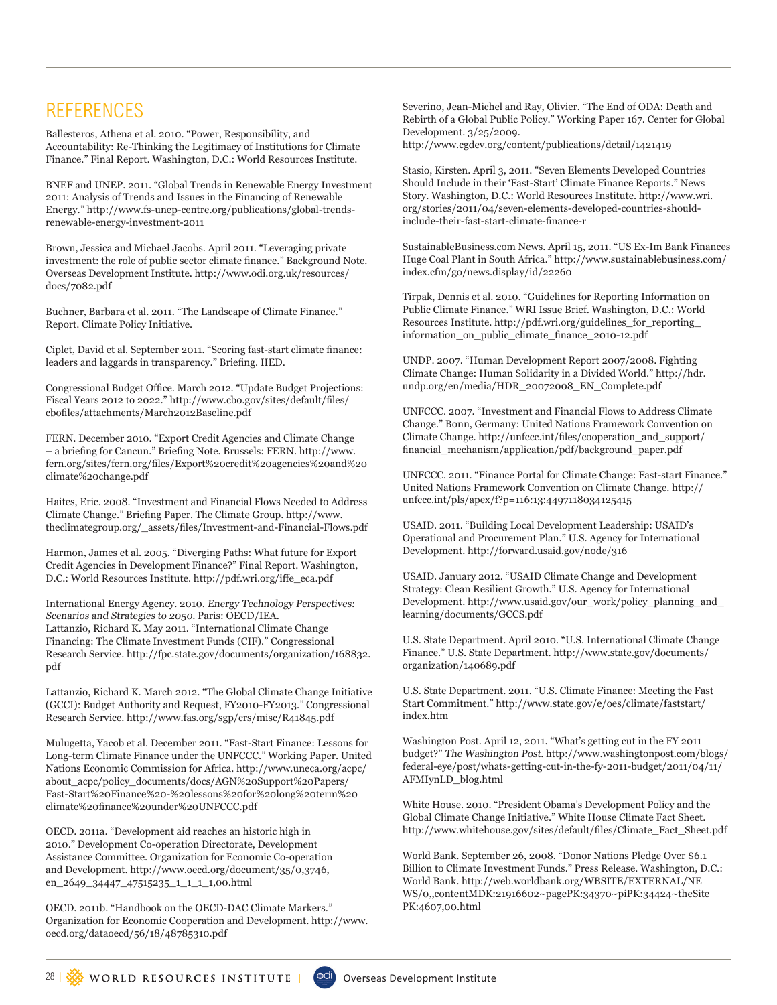# **REFERENCES**

Ballesteros, Athena et al. 2010. "Power, Responsibility, and Accountability: Re-Thinking the Legitimacy of Institutions for Climate Finance." Final Report. Washington, D.C.: World Resources Institute.

BNEF and UNEP. 2011. "Global Trends in Renewable Energy Investment 2011: Analysis of Trends and Issues in the Financing of Renewable Energy." http://www.fs-unep-centre.org/publications/global-trendsrenewable-energy-investment-2011

Brown, Jessica and Michael Jacobs. April 2011. "Leveraging private investment: the role of public sector climate finance." Background Note. Overseas Development Institute. http://www.odi.org.uk/resources/ docs/7082.pdf

Buchner, Barbara et al. 2011. "The Landscape of Climate Finance." Report. Climate Policy Initiative.

Ciplet, David et al. September 2011. "Scoring fast-start climate finance: leaders and laggards in transparency." Briefing. IIED.

Congressional Budget Office. March 2012. "Update Budget Projections: Fiscal Years 2012 to 2022." http://www.cbo.gov/sites/default/files/ cbofiles/attachments/March2012Baseline.pdf

FERN. December 2010. "Export Credit Agencies and Climate Change – a briefing for Cancun." Briefing Note. Brussels: FERN. http://www. fern.org/sites/fern.org/files/Export%20credit%20agencies%20and%20 climate%20change.pdf

Haites, Eric. 2008. "Investment and Financial Flows Needed to Address Climate Change." Briefing Paper. The Climate Group. http://www. theclimategroup.org/\_assets/files/Investment-and-Financial-Flows.pdf

Harmon, James et al. 2005. "Diverging Paths: What future for Export Credit Agencies in Development Finance?" Final Report. Washington, D.C.: World Resources Institute. http://pdf.wri.org/iffe\_eca.pdf

International Energy Agency. 2010. Energy Technology Perspectives: Scenarios and Strategies to 2050. Paris: OECD/IEA. Lattanzio, Richard K. May 2011. "International Climate Change Financing: The Climate Investment Funds (CIF)." Congressional Research Service. http://fpc.state.gov/documents/organization/168832. pdf

Lattanzio, Richard K. March 2012. "The Global Climate Change Initiative (GCCI): Budget Authority and Request, FY2010-FY2013." Congressional Research Service. http://www.fas.org/sgp/crs/misc/R41845.pdf

Mulugetta, Yacob et al. December 2011. "Fast-Start Finance: Lessons for Long-term Climate Finance under the UNFCCC." Working Paper. United Nations Economic Commission for Africa. http://www.uneca.org/acpc/ about\_acpc/policy\_documents/docs/AGN%20Support%20Papers/ Fast-Start%20Finance%20-%20lessons%20for%20long%20term%20 climate%20finance%20under%20UNFCCC.pdf

OECD. 2011a. "Development aid reaches an historic high in 2010." Development Co-operation Directorate, Development Assistance Committee. Organization for Economic Co-operation and Development. http://www.oecd.org/document/35/0,3746, en\_2649\_34447\_47515235\_1\_1\_1\_1,00.html

OECD. 2011b. "Handbook on the OECD-DAC Climate Markers." Organization for Economic Cooperation and Development. http://www. oecd.org/dataoecd/56/18/48785310.pdf

Severino, Jean-Michel and Ray, Olivier. "The End of ODA: Death and Rebirth of a Global Public Policy." Working Paper 167. Center for Global Development. 3/25/2009. http://www.cgdev.org/content/publications/detail/1421419

Stasio, Kirsten. April 3, 2011. "Seven Elements Developed Countries Should Include in their 'Fast-Start' Climate Finance Reports." News Story. Washington, D.C.: World Resources Institute. http://www.wri. org/stories/2011/04/seven-elements-developed-countries-shouldinclude-their-fast-start-climate-finance-r

SustainableBusiness.com News. April 15, 2011. "US Ex-Im Bank Finances Huge Coal Plant in South Africa." http://www.sustainablebusiness.com/ index.cfm/go/news.display/id/22260

Tirpak, Dennis et al. 2010. "Guidelines for Reporting Information on Public Climate Finance." WRI Issue Brief. Washington, D.C.: World Resources Institute. http://pdf.wri.org/guidelines\_for\_reporting\_ information\_on\_public\_climate\_finance\_2010-12.pdf

UNDP. 2007. "Human Development Report 2007/2008. Fighting Climate Change: Human Solidarity in a Divided World." http://hdr. undp.org/en/media/HDR\_20072008\_EN\_Complete.pdf

UNFCCC. 2007. "Investment and Financial Flows to Address Climate Change." Bonn, Germany: United Nations Framework Convention on Climate Change. http://unfccc.int/files/cooperation\_and\_support/ financial\_mechanism/application/pdf/background\_paper.pdf

UNFCCC. 2011. "Finance Portal for Climate Change: Fast-start Finance." United Nations Framework Convention on Climate Change. http:// unfccc.int/pls/apex/f?p=116:13:4497118034125415

USAID. 2011. "Building Local Development Leadership: USAID's Operational and Procurement Plan." U.S. Agency for International Development. http://forward.usaid.gov/node/316

USAID. January 2012. "USAID Climate Change and Development Strategy: Clean Resilient Growth." U.S. Agency for International Development. http://www.usaid.gov/our\_work/policy\_planning\_and\_ learning/documents/GCCS.pdf

U.S. State Department. April 2010. "U.S. International Climate Change Finance." U.S. State Department. http://www.state.gov/documents/ organization/140689.pdf

U.S. State Department. 2011. "U.S. Climate Finance: Meeting the Fast Start Commitment." http://www.state.gov/e/oes/climate/faststart/ index.htm

Washington Post. April 12, 2011. "What's getting cut in the FY 2011 budget?" The Washington Post. http://www.washingtonpost.com/blogs/ federal-eye/post/whats-getting-cut-in-the-fy-2011-budget/2011/04/11/ AFMIynLD\_blog.html

White House. 2010. "President Obama's Development Policy and the Global Climate Change Initiative." White House Climate Fact Sheet. http://www.whitehouse.gov/sites/default/files/Climate\_Fact\_Sheet.pdf

World Bank. September 26, 2008. "Donor Nations Pledge Over \$6.1 Billion to Climate Investment Funds." Press Release. Washington, D.C.: World Bank. http://web.worldbank.org/WBSITE/EXTERNAL/NE WS/0,,contentMDK:21916602~pagePK:34370~piPK:34424~theSite PK:4607,00.html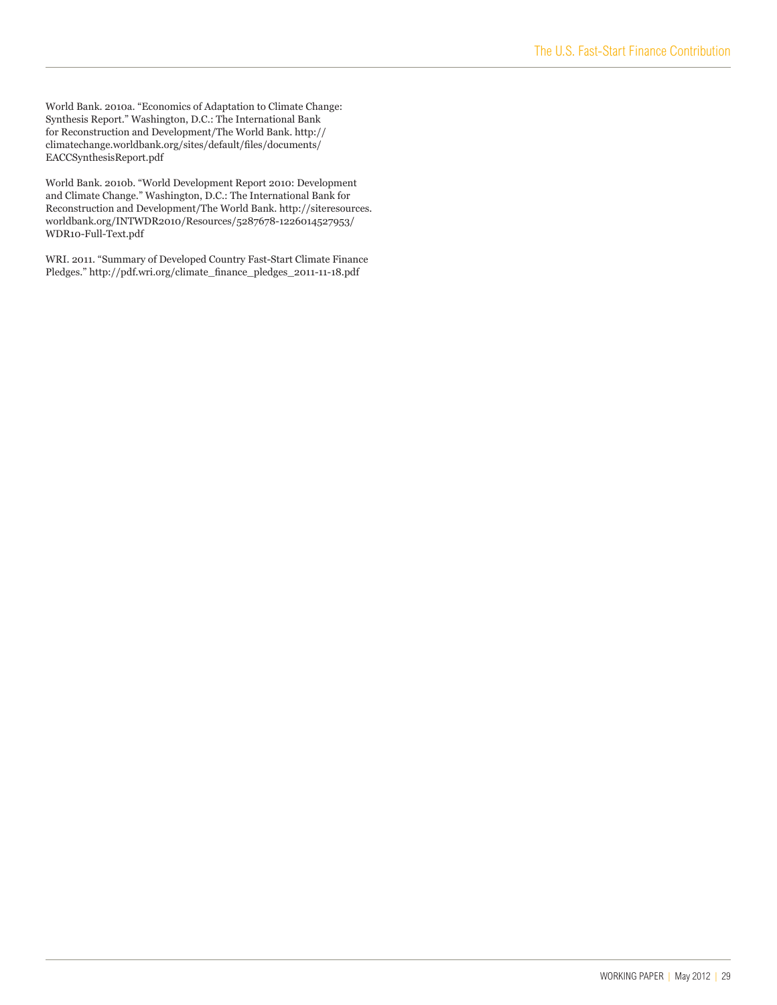World Bank. 2010a. "Economics of Adaptation to Climate Change: Synthesis Report." Washington, D.C.: The International Bank for Reconstruction and Development/The World Bank. http:// climatechange.worldbank.org/sites/default/files/documents/ EACCSynthesisReport.pdf

World Bank. 2010b. "World Development Report 2010: Development and Climate Change." Washington, D.C.: The International Bank for Reconstruction and Development/The World Bank. http://siteresources. worldbank.org/INTWDR2010/Resources/5287678-1226014527953/ WDR10-Full-Text.pdf

WRI. 2011. "Summary of Developed Country Fast-Start Climate Finance Pledges." http://pdf.wri.org/climate\_finance\_pledges\_2011-11-18.pdf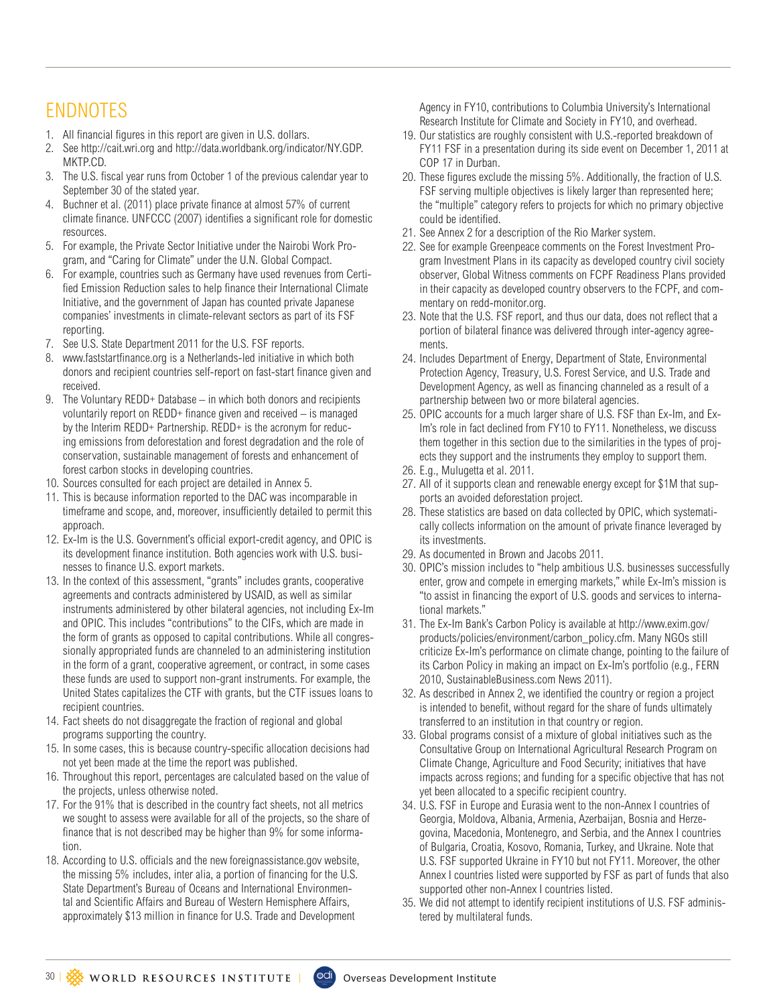# ENDNOTES

- 1. All financial figures in this report are given in U.S. dollars.
- 2. See http://cait.wri.org and http://data.worldbank.org/indicator/NY.GDP. MKTP.CD.
- 3. The U.S. fiscal year runs from October 1 of the previous calendar year to September 30 of the stated year.
- 4. Buchner et al. (2011) place private finance at almost 57% of current climate finance. UNFCCC (2007) identifies a significant role for domestic resources.
- 5. For example, the Private Sector Initiative under the Nairobi Work Program, and "Caring for Climate" under the U.N. Global Compact.
- 6. For example, countries such as Germany have used revenues from Certified Emission Reduction sales to help finance their International Climate Initiative, and the government of Japan has counted private Japanese companies' investments in climate-relevant sectors as part of its FSF reporting.
- 7. See U.S. State Department 2011 for the U.S. FSF reports.
- 8. www.faststartfinance.org is a Netherlands-led initiative in which both donors and recipient countries self-report on fast-start finance given and received.
- 9. The Voluntary REDD+ Database in which both donors and recipients voluntarily report on REDD+ finance given and received – is managed by the Interim REDD+ Partnership. REDD+ is the acronym for reducing emissions from deforestation and forest degradation and the role of conservation, sustainable management of forests and enhancement of forest carbon stocks in developing countries.
- 10. Sources consulted for each project are detailed in Annex 5.
- 11. This is because information reported to the DAC was incomparable in timeframe and scope, and, moreover, insufficiently detailed to permit this approach.
- 12. Ex-Im is the U.S. Government's official export-credit agency, and OPIC is its development finance institution. Both agencies work with U.S. businesses to finance U.S. export markets.
- 13. In the context of this assessment, "grants" includes grants, cooperative agreements and contracts administered by USAID, as well as similar instruments administered by other bilateral agencies, not including Ex-Im and OPIC. This includes "contributions" to the CIFs, which are made in the form of grants as opposed to capital contributions. While all congressionally appropriated funds are channeled to an administering institution in the form of a grant, cooperative agreement, or contract, in some cases these funds are used to support non-grant instruments. For example, the United States capitalizes the CTF with grants, but the CTF issues loans to recipient countries.
- 14. Fact sheets do not disaggregate the fraction of regional and global programs supporting the country.
- 15. In some cases, this is because country-specific allocation decisions had not yet been made at the time the report was published.
- 16. Throughout this report, percentages are calculated based on the value of the projects, unless otherwise noted.
- 17. For the 91% that is described in the country fact sheets, not all metrics we sought to assess were available for all of the projects, so the share of finance that is not described may be higher than 9% for some information.
- 18. According to U.S. officials and the new foreignassistance.gov website, the missing 5% includes, inter alia, a portion of financing for the U.S. State Department's Bureau of Oceans and International Environmental and Scientific Affairs and Bureau of Western Hemisphere Affairs, approximately \$13 million in finance for U.S. Trade and Development

Agency in FY10, contributions to Columbia University's International Research Institute for Climate and Society in FY10, and overhead.

- 19. Our statistics are roughly consistent with U.S.-reported breakdown of FY11 FSF in a presentation during its side event on December 1, 2011 at COP 17 in Durban.
- 20. These figures exclude the missing 5%. Additionally, the fraction of U.S. FSF serving multiple objectives is likely larger than represented here; the "multiple" category refers to projects for which no primary objective could be identified.
- 21. See Annex 2 for a description of the Rio Marker system.
- 22. See for example Greenpeace comments on the Forest Investment Program Investment Plans in its capacity as developed country civil society observer, Global Witness comments on FCPF Readiness Plans provided in their capacity as developed country observers to the FCPF, and commentary on redd-monitor.org.
- 23. Note that the U.S. FSF report, and thus our data, does not reflect that a portion of bilateral finance was delivered through inter-agency agreements.
- 24. Includes Department of Energy, Department of State, Environmental Protection Agency, Treasury, U.S. Forest Service, and U.S. Trade and Development Agency, as well as financing channeled as a result of a partnership between two or more bilateral agencies.
- 25. OPIC accounts for a much larger share of U.S. FSF than Ex-Im, and Ex-Im's role in fact declined from FY10 to FY11. Nonetheless, we discuss them together in this section due to the similarities in the types of projects they support and the instruments they employ to support them.
- 26. E.g., Mulugetta et al. 2011.
- 27. All of it supports clean and renewable energy except for \$1M that supports an avoided deforestation project.
- 28. These statistics are based on data collected by OPIC, which systematically collects information on the amount of private finance leveraged by its investments.
- 29. As documented in Brown and Jacobs 2011.
- 30. OPIC's mission includes to "help ambitious U.S. businesses successfully enter, grow and compete in emerging markets," while Ex-Im's mission is "to assist in financing the export of U.S. goods and services to international markets."
- 31. The Ex-Im Bank's Carbon Policy is available at http://www.exim.gov/ products/policies/environment/carbon\_policy.cfm. Many NGOs still criticize Ex-Im's performance on climate change, pointing to the failure of its Carbon Policy in making an impact on Ex-Im's portfolio (e.g., FERN 2010, SustainableBusiness.com News 2011).
- 32. As described in Annex 2, we identified the country or region a project is intended to benefit, without regard for the share of funds ultimately transferred to an institution in that country or region.
- 33. Global programs consist of a mixture of global initiatives such as the Consultative Group on International Agricultural Research Program on Climate Change, Agriculture and Food Security; initiatives that have impacts across regions; and funding for a specific objective that has not yet been allocated to a specific recipient country.
- 34. U.S. FSF in Europe and Eurasia went to the non-Annex I countries of Georgia, Moldova, Albania, Armenia, Azerbaijan, Bosnia and Herzegovina, Macedonia, Montenegro, and Serbia, and the Annex I countries of Bulgaria, Croatia, Kosovo, Romania, Turkey, and Ukraine. Note that U.S. FSF supported Ukraine in FY10 but not FY11. Moreover, the other Annex I countries listed were supported by FSF as part of funds that also supported other non-Annex I countries listed.
- 35. We did not attempt to identify recipient institutions of U.S. FSF administered by multilateral funds.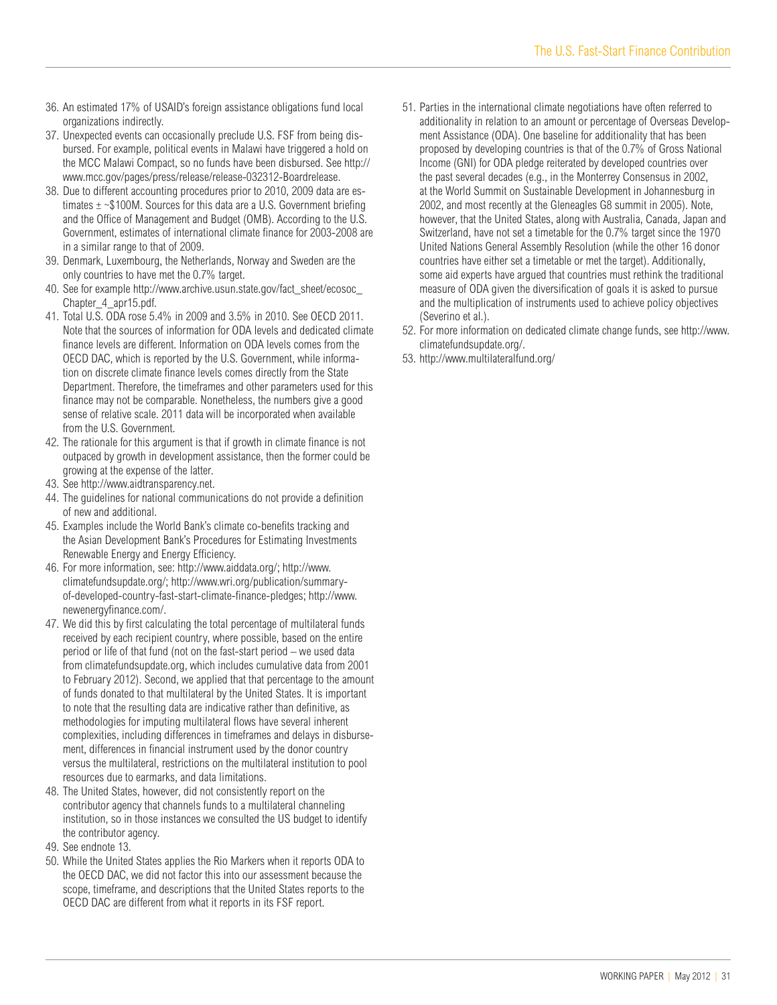- 36. An estimated 17% of USAID's foreign assistance obligations fund local organizations indirectly.
- 37. Unexpected events can occasionally preclude U.S. FSF from being disbursed. For example, political events in Malawi have triggered a hold on the MCC Malawi Compact, so no funds have been disbursed. See http:// www.mcc.gov/pages/press/release/release-032312-Boardrelease.
- 38. Due to different accounting procedures prior to 2010, 2009 data are estimates  $\pm$  ~\$100M. Sources for this data are a U.S. Government briefing and the Office of Management and Budget (OMB). According to the U.S. Government, estimates of international climate finance for 2003-2008 are in a similar range to that of 2009.
- 39. Denmark, Luxembourg, the Netherlands, Norway and Sweden are the only countries to have met the 0.7% target.
- 40. See for example http://www.archive.usun.state.gov/fact\_sheet/ecosoc\_ Chapter\_4\_apr15.pdf.
- 41. Total U.S. ODA rose 5.4% in 2009 and 3.5% in 2010. See OECD 2011. Note that the sources of information for ODA levels and dedicated climate finance levels are different. Information on ODA levels comes from the OECD DAC, which is reported by the U.S. Government, while information on discrete climate finance levels comes directly from the State Department. Therefore, the timeframes and other parameters used for this finance may not be comparable. Nonetheless, the numbers give a good sense of relative scale. 2011 data will be incorporated when available from the U.S. Government.
- 42. The rationale for this argument is that if growth in climate finance is not outpaced by growth in development assistance, then the former could be growing at the expense of the latter.
- 43. See http://www.aidtransparency.net.
- 44. The guidelines for national communications do not provide a definition of new and additional.
- 45. Examples include the World Bank's climate co-benefits tracking and the Asian Development Bank's Procedures for Estimating Investments Renewable Energy and Energy Efficiency.
- 46. For more information, see: http://www.aiddata.org/; http://www. climatefundsupdate.org/; http://www.wri.org/publication/summaryof-developed-country-fast-start-climate-finance-pledges; http://www. newenergyfinance.com/.
- 47. We did this by first calculating the total percentage of multilateral funds received by each recipient country, where possible, based on the entire period or life of that fund (not on the fast-start period – we used data from climatefundsupdate.org, which includes cumulative data from 2001 to February 2012). Second, we applied that that percentage to the amount of funds donated to that multilateral by the United States. It is important to note that the resulting data are indicative rather than definitive, as methodologies for imputing multilateral flows have several inherent complexities, including differences in timeframes and delays in disbursement, differences in financial instrument used by the donor country versus the multilateral, restrictions on the multilateral institution to pool resources due to earmarks, and data limitations.
- 48. The United States, however, did not consistently report on the contributor agency that channels funds to a multilateral channeling institution, so in those instances we consulted the US budget to identify the contributor agency.
- 49. See endnote 13.
- 50. While the United States applies the Rio Markers when it reports ODA to the OECD DAC, we did not factor this into our assessment because the scope, timeframe, and descriptions that the United States reports to the OECD DAC are different from what it reports in its FSF report.
- 51. Parties in the international climate negotiations have often referred to additionality in relation to an amount or percentage of Overseas Development Assistance (ODA). One baseline for additionality that has been proposed by developing countries is that of the 0.7% of Gross National Income (GNI) for ODA pledge reiterated by developed countries over the past several decades (e.g., in the Monterrey Consensus in 2002, at the World Summit on Sustainable Development in Johannesburg in 2002, and most recently at the Gleneagles G8 summit in 2005). Note, however, that the United States, along with Australia, Canada, Japan and Switzerland, have not set a timetable for the 0.7% target since the 1970 United Nations General Assembly Resolution (while the other 16 donor countries have either set a timetable or met the target). Additionally, some aid experts have argued that countries must rethink the traditional measure of ODA given the diversification of goals it is asked to pursue and the multiplication of instruments used to achieve policy objectives (Severino et al.).
- 52. For more information on dedicated climate change funds, see http://www. climatefundsupdate.org/.
- 53. http://www.multilateralfund.org/